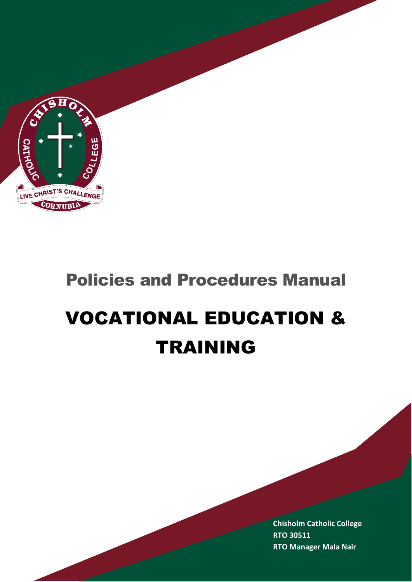

# Policies and Procedures Manual

C

# VOCATIONAL EDUCATION & TRAINING

**Chisholm Catholic College RTO 30511 RTO Manager Mala Nair**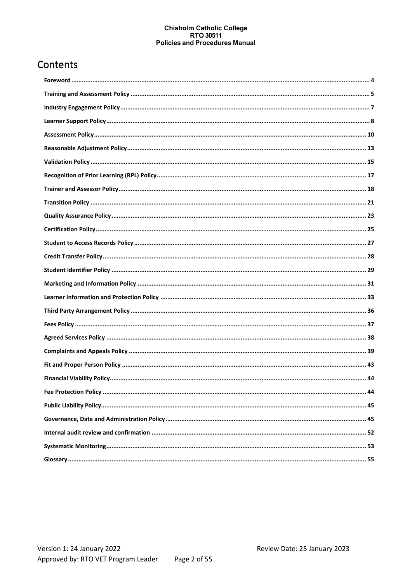# Contents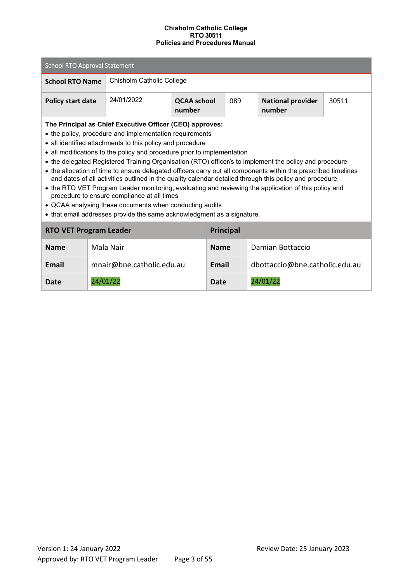| <b>School RTO Approval Statement</b>                                                                                                                                                                                                                                                                                                                                                                                                                                                                                                                                                                                                                                                                                                                                                                                                                                                           |          |                                                                                                  |  |              |                  |                                |  |
|------------------------------------------------------------------------------------------------------------------------------------------------------------------------------------------------------------------------------------------------------------------------------------------------------------------------------------------------------------------------------------------------------------------------------------------------------------------------------------------------------------------------------------------------------------------------------------------------------------------------------------------------------------------------------------------------------------------------------------------------------------------------------------------------------------------------------------------------------------------------------------------------|----------|--------------------------------------------------------------------------------------------------|--|--------------|------------------|--------------------------------|--|
| <b>School RTO Name</b>                                                                                                                                                                                                                                                                                                                                                                                                                                                                                                                                                                                                                                                                                                                                                                                                                                                                         |          | Chisholm Catholic College                                                                        |  |              |                  |                                |  |
| <b>Policy start date</b>                                                                                                                                                                                                                                                                                                                                                                                                                                                                                                                                                                                                                                                                                                                                                                                                                                                                       |          | 24/01/2022<br><b>QCAA school</b><br>089<br><b>National provider</b><br>30511<br>number<br>number |  |              |                  |                                |  |
| The Principal as Chief Executive Officer (CEO) approves:<br>• the policy, procedure and implementation requirements<br>• all identified attachments to this policy and procedure<br>• all modifications to the policy and procedure prior to implementation<br>• the delegated Registered Training Organisation (RTO) officer/s to implement the policy and procedure<br>• the allocation of time to ensure delegated officers carry out all components within the prescribed timelines<br>and dates of all activities outlined in the quality calendar detailed through this policy and procedure<br>• the RTO VET Program Leader monitoring, evaluating and reviewing the application of this policy and<br>procedure to ensure compliance at all times<br>• QCAA analysing these documents when conducting audits<br>• that email addresses provide the same acknowledgment as a signature. |          |                                                                                                  |  |              |                  |                                |  |
| <b>RTO VET Program Leader</b>                                                                                                                                                                                                                                                                                                                                                                                                                                                                                                                                                                                                                                                                                                                                                                                                                                                                  |          |                                                                                                  |  |              | <b>Principal</b> |                                |  |
| <b>Name</b>                                                                                                                                                                                                                                                                                                                                                                                                                                                                                                                                                                                                                                                                                                                                                                                                                                                                                    |          | Mala Nair                                                                                        |  | <b>Name</b>  |                  | Damian Bottaccio               |  |
| <b>Email</b>                                                                                                                                                                                                                                                                                                                                                                                                                                                                                                                                                                                                                                                                                                                                                                                                                                                                                   |          | mnair@bne.catholic.edu.au                                                                        |  | <b>Email</b> |                  | dbottaccio@bne.catholic.edu.au |  |
| Date                                                                                                                                                                                                                                                                                                                                                                                                                                                                                                                                                                                                                                                                                                                                                                                                                                                                                           | 24/01/22 |                                                                                                  |  | <b>Date</b>  |                  | 24/01/22                       |  |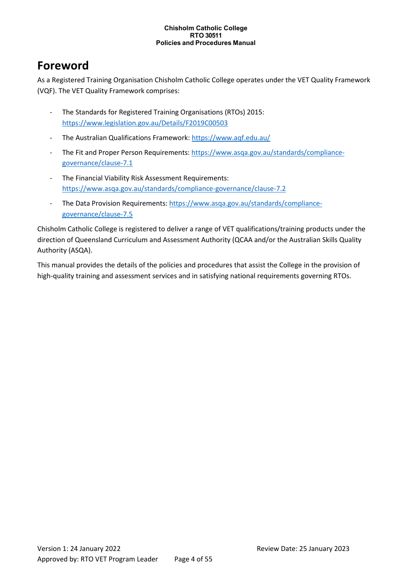# <span id="page-3-0"></span>**Foreword**

As a Registered Training Organisation Chisholm Catholic College operates under the VET Quality Framework (VQF). The VET Quality Framework comprises:

- The Standards for Registered Training Organisations (RTOs) 2015: <https://www.legislation.gov.au/Details/F2019C00503>
- The Australian Qualifications Framework:<https://www.aqf.edu.au/>
- The Fit and Proper Person Requirements[: https://www.asqa.gov.au/standards/compliance](https://www.asqa.gov.au/standards/compliance-governance/clause-7.1)[governance/clause-7.1](https://www.asqa.gov.au/standards/compliance-governance/clause-7.1)
- The Financial Viability Risk Assessment Requirements: <https://www.asqa.gov.au/standards/compliance-governance/clause-7.2>
- The Data Provision Requirements[: https://www.asqa.gov.au/standards/compliance](https://www.asqa.gov.au/standards/compliance-governance/clause-7.5)[governance/clause-7.5](https://www.asqa.gov.au/standards/compliance-governance/clause-7.5)

Chisholm Catholic College is registered to deliver a range of VET qualifications/training products under the direction of Queensland Curriculum and Assessment Authority (QCAA and/or the Australian Skills Quality Authority (ASQA).

This manual provides the details of the policies and procedures that assist the College in the provision of high-quality training and assessment services and in satisfying national requirements governing RTOs.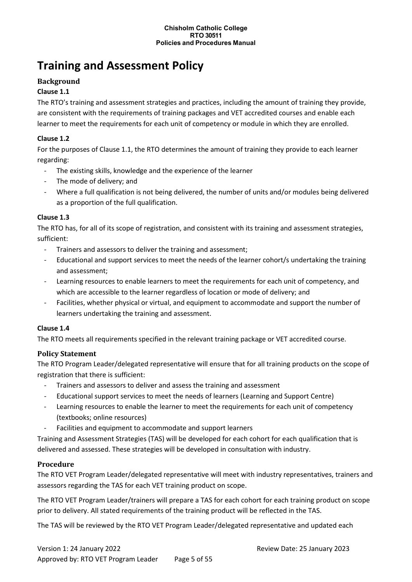# <span id="page-4-0"></span>**Training and Assessment Policy**

# **Background**

### **Clause 1.1**

The RTO's training and assessment strategies and practices, including the amount of training they provide, are consistent with the requirements of training packages and VET accredited courses and enable each learner to meet the requirements for each unit of competency or module in which they are enrolled.

#### **Clause 1.2**

For the purposes of Clause 1.1, the RTO determines the amount of training they provide to each learner regarding:

- The existing skills, knowledge and the experience of the learner
- The mode of delivery; and
- Where a full qualification is not being delivered, the number of units and/or modules being delivered as a proportion of the full qualification.

#### **Clause 1.3**

The RTO has, for all of its scope of registration, and consistent with its training and assessment strategies, sufficient:

- Trainers and assessors to deliver the training and assessment;
- Educational and support services to meet the needs of the learner cohort/s undertaking the training and assessment;
- Learning resources to enable learners to meet the requirements for each unit of competency, and which are accessible to the learner regardless of location or mode of delivery; and
- Facilities, whether physical or virtual, and equipment to accommodate and support the number of learners undertaking the training and assessment.

#### **Clause 1.4**

The RTO meets all requirements specified in the relevant training package or VET accredited course.

# **Policy Statement**

The RTO Program Leader/delegated representative will ensure that for all training products on the scope of registration that there is sufficient:

- Trainers and assessors to deliver and assess the training and assessment
- Educational support services to meet the needs of learners (Learning and Support Centre)
- Learning resources to enable the learner to meet the requirements for each unit of competency (textbooks; online resources)
- Facilities and equipment to accommodate and support learners

Training and Assessment Strategies (TAS) will be developed for each cohort for each qualification that is delivered and assessed. These strategies will be developed in consultation with industry.

#### **Procedure**

The RTO VET Program Leader/delegated representative will meet with industry representatives, trainers and assessors regarding the TAS for each VET training product on scope.

The RTO VET Program Leader/trainers will prepare a TAS for each cohort for each training product on scope prior to delivery. All stated requirements of the training product will be reflected in the TAS.

The TAS will be reviewed by the RTO VET Program Leader/delegated representative and updated each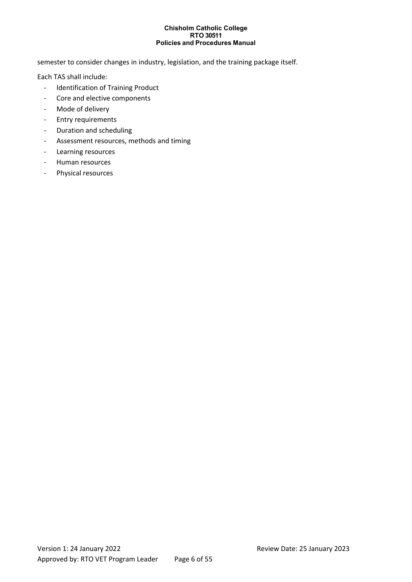semester to consider changes in industry, legislation, and the training package itself.

Each TAS shall include:

- Identification of Training Product
- Core and elective components
- Mode of delivery
- Entry requirements
- Duration and scheduling
- Assessment resources, methods and timing
- Learning resources
- Human resources
- Physical resources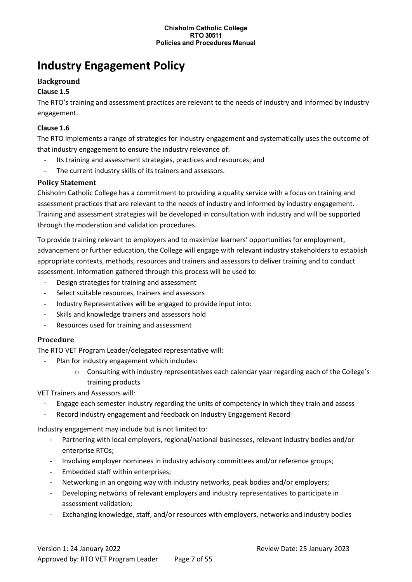# <span id="page-6-0"></span>**Industry Engagement Policy**

# **Background**

# **Clause 1.5**

The RTO's training and assessment practices are relevant to the needs of industry and informed by industry engagement.

### **Clause 1.6**

The RTO implements a range of strategies for industry engagement and systematically uses the outcome of that industry engagement to ensure the industry relevance of:

- Its training and assessment strategies, practices and resources; and
- The current industry skills of its trainers and assessors.

#### **Policy Statement**

Chisholm Catholic College has a commitment to providing a quality service with a focus on training and assessment practices that are relevant to the needs of industry and informed by industry engagement. Training and assessment strategies will be developed in consultation with industry and will be supported through the moderation and validation procedures.

To provide training relevant to employers and to maximize learners' opportunities for employment, advancement or further education, the College will engage with relevant industry stakeholders to establish appropriate contexts, methods, resources and trainers and assessors to deliver training and to conduct assessment. Information gathered through this process will be used to:

- Design strategies for training and assessment
- Select suitable resources, trainers and assessors
- Industry Representatives will be engaged to provide input into:
- Skills and knowledge trainers and assessors hold
- Resources used for training and assessment

#### **Procedure**

The RTO VET Program Leader/delegated representative will:

- Plan for industry engagement which includes:
	- o Consulting with industry representatives each calendar year regarding each of the College's training products

#### VET Trainers and Assessors will:

- Engage each semester industry regarding the units of competency in which they train and assess
- Record industry engagement and feedback on Industry Engagement Record

Industry engagement may include but is not limited to:

- Partnering with local employers, regional/national businesses, relevant industry bodies and/or enterprise RTOs;
- Involving employer nominees in industry advisory committees and/or reference groups;
- Embedded staff within enterprises;
- Networking in an ongoing way with industry networks, peak bodies and/or employers;
- Developing networks of relevant employers and industry representatives to participate in assessment validation;
- Exchanging knowledge, staff, and/or resources with employers, networks and industry bodies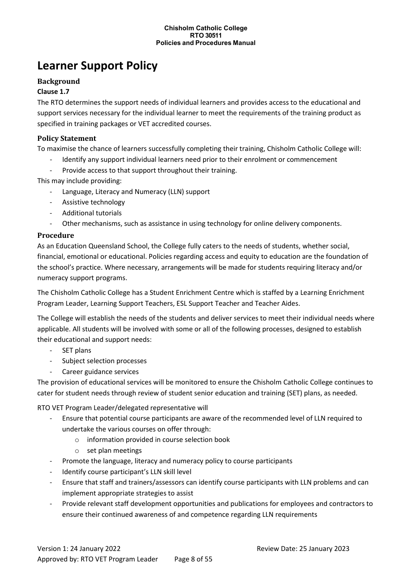# <span id="page-7-0"></span>**Learner Support Policy**

### **Background**

#### **Clause 1.7**

The RTO determines the support needs of individual learners and provides access to the educational and support services necessary for the individual learner to meet the requirements of the training product as specified in training packages or VET accredited courses.

#### **Policy Statement**

To maximise the chance of learners successfully completing their training, Chisholm Catholic College will:

- Identify any support individual learners need prior to their enrolment or commencement
- Provide access to that support throughout their training.

This may include providing:

- Language, Literacy and Numeracy (LLN) support
- Assistive technology
- Additional tutorials
- Other mechanisms, such as assistance in using technology for online delivery components.

#### **Procedure**

As an Education Queensland School, the College fully caters to the needs of students, whether social, financial, emotional or educational. Policies regarding access and equity to education are the foundation of the school's practice. Where necessary, arrangements will be made for students requiring literacy and/or numeracy support programs.

The Chisholm Catholic College has a Student Enrichment Centre which is staffed by a Learning Enrichment Program Leader, Learning Support Teachers, ESL Support Teacher and Teacher Aides.

The College will establish the needs of the students and deliver services to meet their individual needs where applicable. All students will be involved with some or all of the following processes, designed to establish their educational and support needs:

- SET plans
- Subject selection processes
- Career guidance services

The provision of educational services will be monitored to ensure the Chisholm Catholic College continues to cater for student needs through review of student senior education and training (SET) plans, as needed.

RTO VET Program Leader/delegated representative will

- Ensure that potential course participants are aware of the recommended level of LLN required to undertake the various courses on offer through:
	- o information provided in course selection book
	- o set plan meetings
- Promote the language, literacy and numeracy policy to course participants
- Identify course participant's LLN skill level
- Ensure that staff and trainers/assessors can identify course participants with LLN problems and can implement appropriate strategies to assist
- Provide relevant staff development opportunities and publications for employees and contractors to ensure their continued awareness of and competence regarding LLN requirements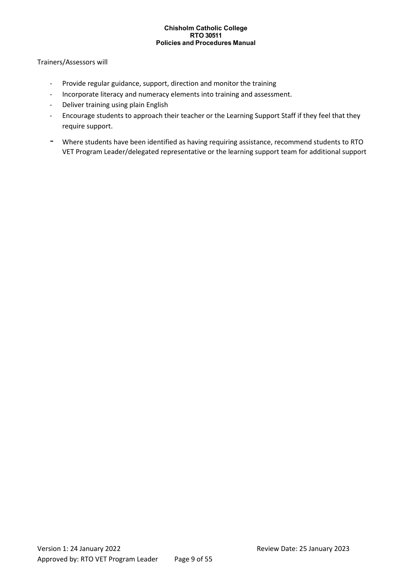#### Trainers/Assessors will

- Provide regular guidance, support, direction and monitor the training
- Incorporate literacy and numeracy elements into training and assessment.
- Deliver training using plain English
- Encourage students to approach their teacher or the Learning Support Staff if they feel that they require support.
- Where students have been identified as having requiring assistance, recommend students to RTO VET Program Leader/delegated representative or the learning support team for additional support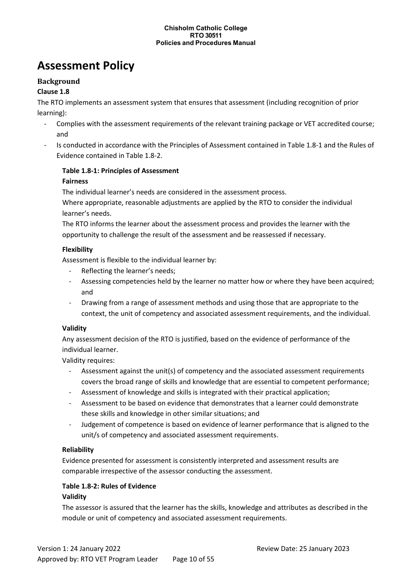# <span id="page-9-0"></span>**Assessment Policy**

### **Background**

#### **Clause 1.8**

The RTO implements an assessment system that ensures that assessment (including recognition of prior learning):

- Complies with the assessment requirements of the relevant training package or VET accredited course; and
- Is conducted in accordance with the Principles of Assessment contained in Table 1.8-1 and the Rules of Evidence contained in Table 1.8-2.

# **Table 1.8-1: Principles of Assessment**

#### **Fairness**

The individual learner's needs are considered in the assessment process.

Where appropriate, reasonable adjustments are applied by the RTO to consider the individual learner's needs.

The RTO informs the learner about the assessment process and provides the learner with the opportunity to challenge the result of the assessment and be reassessed if necessary.

#### **Flexibility**

Assessment is flexible to the individual learner by:

- Reflecting the learner's needs;
- Assessing competencies held by the learner no matter how or where they have been acquired; and
- Drawing from a range of assessment methods and using those that are appropriate to the context, the unit of competency and associated assessment requirements, and the individual.

#### **Validity**

Any assessment decision of the RTO is justified, based on the evidence of performance of the individual learner.

Validity requires:

- Assessment against the unit(s) of competency and the associated assessment requirements covers the broad range of skills and knowledge that are essential to competent performance;
- Assessment of knowledge and skills is integrated with their practical application;
- Assessment to be based on evidence that demonstrates that a learner could demonstrate these skills and knowledge in other similar situations; and
- Judgement of competence is based on evidence of learner performance that is aligned to the unit/s of competency and associated assessment requirements.

#### **Reliability**

Evidence presented for assessment is consistently interpreted and assessment results are comparable irrespective of the assessor conducting the assessment.

#### **Table 1.8-2: Rules of Evidence**

#### **Validity**

The assessor is assured that the learner has the skills, knowledge and attributes as described in the module or unit of competency and associated assessment requirements.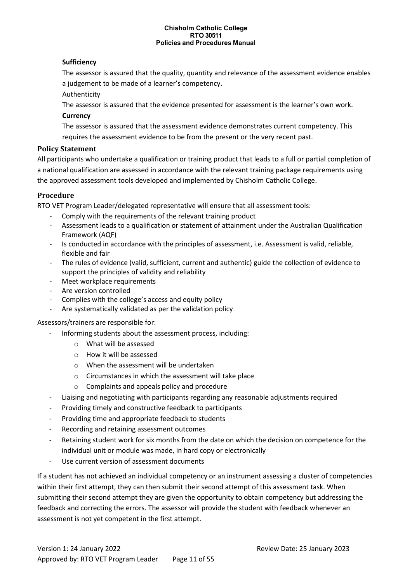#### **Sufficiency**

The assessor is assured that the quality, quantity and relevance of the assessment evidence enables a judgement to be made of a learner's competency.

Authenticity

The assessor is assured that the evidence presented for assessment is the learner's own work.

#### **Currency**

The assessor is assured that the assessment evidence demonstrates current competency. This requires the assessment evidence to be from the present or the very recent past.

#### **Policy Statement**

All participants who undertake a qualification or training product that leads to a full or partial completion of a national qualification are assessed in accordance with the relevant training package requirements using the approved assessment tools developed and implemented by Chisholm Catholic College.

#### **Procedure**

RTO VET Program Leader/delegated representative will ensure that all assessment tools:

- Comply with the requirements of the relevant training product
- Assessment leads to a qualification or statement of attainment under the Australian Qualification Framework (AQF)
- Is conducted in accordance with the principles of assessment, i.e. Assessment is valid, reliable, flexible and fair
- The rules of evidence (valid, sufficient, current and authentic) guide the collection of evidence to support the principles of validity and reliability
- Meet workplace requirements
- Are version controlled
- Complies with the college's access and equity policy
- Are systematically validated as per the validation policy

#### Assessors/trainers are responsible for:

- Informing students about the assessment process, including:
	- o What will be assessed
	- o How it will be assessed
	- o When the assessment will be undertaken
	- o Circumstances in which the assessment will take place
	- o Complaints and appeals policy and procedure
- Liaising and negotiating with participants regarding any reasonable adjustments required
- Providing timely and constructive feedback to participants
- Providing time and appropriate feedback to students
- Recording and retaining assessment outcomes
- Retaining student work for six months from the date on which the decision on competence for the individual unit or module was made, in hard copy or electronically
- Use current version of assessment documents

If a student has not achieved an individual competency or an instrument assessing a cluster of competencies within their first attempt, they can then submit their second attempt of this assessment task. When submitting their second attempt they are given the opportunity to obtain competency but addressing the feedback and correcting the errors. The assessor will provide the student with feedback whenever an assessment is not yet competent in the first attempt.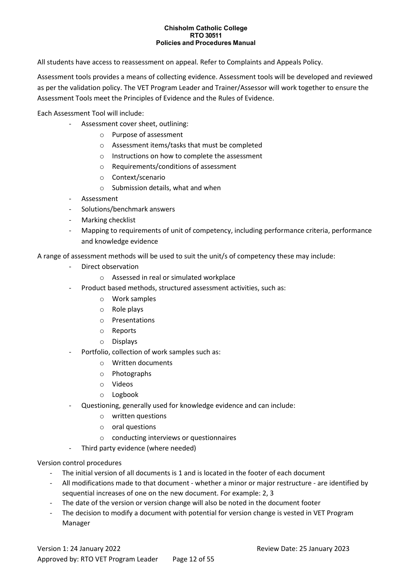All students have access to reassessment on appeal. Refer to Complaints and Appeals Policy.

Assessment tools provides a means of collecting evidence. Assessment tools will be developed and reviewed as per the validation policy. The VET Program Leader and Trainer/Assessor will work together to ensure the Assessment Tools meet the Principles of Evidence and the Rules of Evidence.

Each Assessment Tool will include:

- Assessment cover sheet, outlining:
	- o Purpose of assessment
	- o Assessment items/tasks that must be completed
	- o Instructions on how to complete the assessment
	- o Requirements/conditions of assessment
	- o Context/scenario
	- $\circ$  Submission details, what and when
- **Assessment**
- Solutions/benchmark answers
- Marking checklist
- Mapping to requirements of unit of competency, including performance criteria, performance and knowledge evidence

A range of assessment methods will be used to suit the unit/s of competency these may include:

- Direct observation
	- o Assessed in real or simulated workplace
	- Product based methods, structured assessment activities, such as:
		- o Work samples
			- o Role plays
			- o Presentations
			- o Reports
			- o Displays
- Portfolio, collection of work samples such as:
	- o Written documents
	- o Photographs
	- o Videos
	- o Logbook
- Questioning, generally used for knowledge evidence and can include:
	- o written questions
	- o oral questions
	- o conducting interviews or questionnaires
- Third party evidence (where needed)

#### Version control procedures

- The initial version of all documents is 1 and is located in the footer of each document
- All modifications made to that document whether a minor or major restructure are identified by sequential increases of one on the new document. For example: 2, 3
- The date of the version or version change will also be noted in the document footer
- The decision to modify a document with potential for version change is vested in VET Program Manager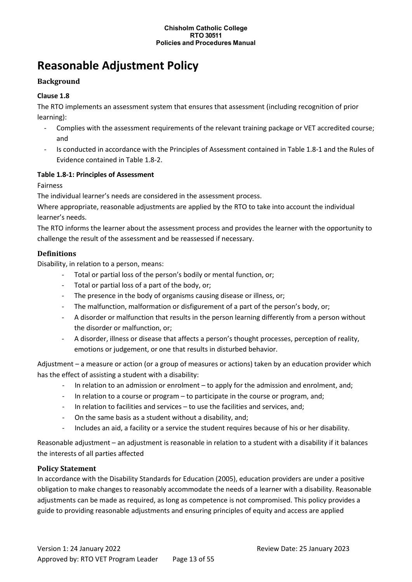# <span id="page-12-0"></span>**Reasonable Adjustment Policy**

# **Background**

# **Clause 1.8**

The RTO implements an assessment system that ensures that assessment (including recognition of prior learning):

- Complies with the assessment requirements of the relevant training package or VET accredited course; and
- Is conducted in accordance with the Principles of Assessment contained in Table 1.8-1 and the Rules of Evidence contained in Table 1.8-2.

#### **Table 1.8-1: Principles of Assessment**

Fairness

The individual learner's needs are considered in the assessment process.

Where appropriate, reasonable adjustments are applied by the RTO to take into account the individual learner's needs.

The RTO informs the learner about the assessment process and provides the learner with the opportunity to challenge the result of the assessment and be reassessed if necessary.

# **Definitions**

Disability, in relation to a person, means:

- Total or partial loss of the person's bodily or mental function, or;
- Total or partial loss of a part of the body, or;
- The presence in the body of organisms causing disease or illness, or;
- The malfunction, malformation or disfigurement of a part of the person's body, or;
- A disorder or malfunction that results in the person learning differently from a person without the disorder or malfunction, or;
- A disorder, illness or disease that affects a person's thought processes, perception of reality, emotions or judgement, or one that results in disturbed behavior.

Adjustment – a measure or action (or a group of measures or actions) taken by an education provider which has the effect of assisting a student with a disability:

- In relation to an admission or enrolment to apply for the admission and enrolment, and;
- In relation to a course or program to participate in the course or program, and;
- In relation to facilities and services  $-$  to use the facilities and services, and;
- On the same basis as a student without a disability, and;
- Includes an aid, a facility or a service the student requires because of his or her disability.

Reasonable adjustment – an adjustment is reasonable in relation to a student with a disability if it balances the interests of all parties affected

# **Policy Statement**

In accordance with the Disability Standards for Education (2005), education providers are under a positive obligation to make changes to reasonably accommodate the needs of a learner with a disability. Reasonable adjustments can be made as required, as long as competence is not compromised. This policy provides a guide to providing reasonable adjustments and ensuring principles of equity and access are applied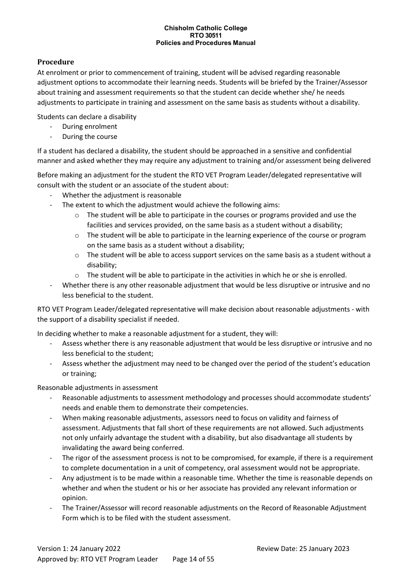#### **Procedure**

At enrolment or prior to commencement of training, student will be advised regarding reasonable adjustment options to accommodate their learning needs. Students will be briefed by the Trainer/Assessor about training and assessment requirements so that the student can decide whether she/ he needs adjustments to participate in training and assessment on the same basis as students without a disability.

Students can declare a disability

- During enrolment
- During the course

If a student has declared a disability, the student should be approached in a sensitive and confidential manner and asked whether they may require any adjustment to training and/or assessment being delivered

Before making an adjustment for the student the RTO VET Program Leader/delegated representative will consult with the student or an associate of the student about:

- Whether the adjustment is reasonable
- The extent to which the adjustment would achieve the following aims:
	- $\circ$  The student will be able to participate in the courses or programs provided and use the facilities and services provided, on the same basis as a student without a disability;
	- $\circ$  The student will be able to participate in the learning experience of the course or program on the same basis as a student without a disability;
	- $\circ$  The student will be able to access support services on the same basis as a student without a disability;
	- o The student will be able to participate in the activities in which he or she is enrolled.
- Whether there is any other reasonable adjustment that would be less disruptive or intrusive and no less beneficial to the student.

RTO VET Program Leader/delegated representative will make decision about reasonable adjustments - with the support of a disability specialist if needed.

In deciding whether to make a reasonable adjustment for a student, they will:

- Assess whether there is any reasonable adjustment that would be less disruptive or intrusive and no less beneficial to the student;
- Assess whether the adjustment may need to be changed over the period of the student's education or training;

Reasonable adjustments in assessment

- Reasonable adjustments to assessment methodology and processes should accommodate students' needs and enable them to demonstrate their competencies.
- When making reasonable adjustments, assessors need to focus on validity and fairness of assessment. Adjustments that fall short of these requirements are not allowed. Such adjustments not only unfairly advantage the student with a disability, but also disadvantage all students by invalidating the award being conferred.
- The rigor of the assessment process is not to be compromised, for example, if there is a requirement to complete documentation in a unit of competency, oral assessment would not be appropriate.
- Any adjustment is to be made within a reasonable time. Whether the time is reasonable depends on whether and when the student or his or her associate has provided any relevant information or opinion.
- The Trainer/Assessor will record reasonable adjustments on the Record of Reasonable Adjustment Form which is to be filed with the student assessment.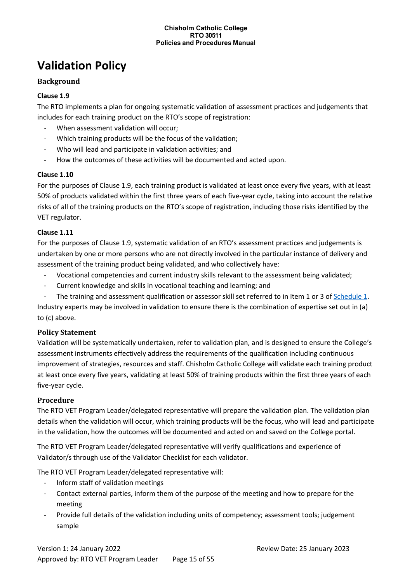# <span id="page-14-0"></span>**Validation Policy**

# **Background**

# **Clause 1.9**

The RTO implements a plan for ongoing systematic validation of assessment practices and judgements that includes for each training product on the RTO's scope of registration:

- When assessment validation will occur:
- Which training products will be the focus of the validation;
- Who will lead and participate in validation activities; and
- How the outcomes of these activities will be documented and acted upon.

#### **Clause 1.10**

For the purposes of Clause 1.9, each training product is validated at least once every five years, with at least 50% of products validated within the first three years of each five-year cycle, taking into account the relative risks of all of the training products on the RTO's scope of registration, including those risks identified by the VET regulator.

#### **Clause 1.11**

For the purposes of Clause 1.9, systematic validation of an RTO's assessment practices and judgements is undertaken by one or more persons who are not directly involved in the particular instance of delivery and assessment of the training product being validated, and who collectively have:

- Vocational competencies and current industry skills relevant to the assessment being validated;
- Current knowledge and skills in vocational teaching and learning; and
- The training and assessment qualification or assessor skill set referred to in Item 1 or 3 of [Schedule 1.](http://www.asqa.gov.au/users-guide-to-the-standards-for-registered-training-organisations-2015/appendices/appendix-2/appendix-2.html)

Industry experts may be involved in validation to ensure there is the combination of expertise set out in (a) to (c) above.

#### **Policy Statement**

Validation will be systematically undertaken, refer to validation plan, and is designed to ensure the College's assessment instruments effectively address the requirements of the qualification including continuous improvement of strategies, resources and staff. Chisholm Catholic College will validate each training product at least once every five years, validating at least 50% of training products within the first three years of each five-year cycle.

#### **Procedure**

The RTO VET Program Leader/delegated representative will prepare the validation plan. The validation plan details when the validation will occur, which training products will be the focus, who will lead and participate in the validation, how the outcomes will be documented and acted on and saved on the College portal.

The RTO VET Program Leader/delegated representative will verify qualifications and experience of Validator/s through use of the Validator Checklist for each validator.

The RTO VET Program Leader/delegated representative will:

- Inform staff of validation meetings
- Contact external parties, inform them of the purpose of the meeting and how to prepare for the meeting
- Provide full details of the validation including units of competency; assessment tools; judgement sample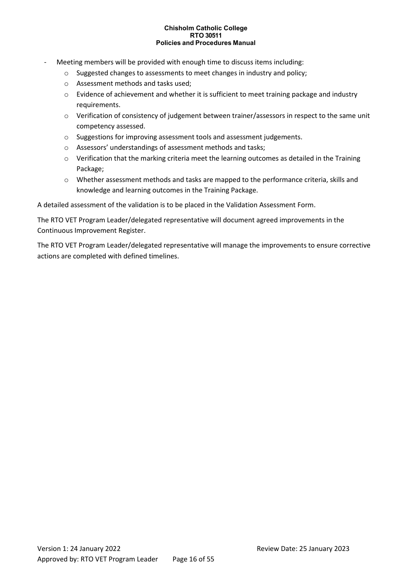- Meeting members will be provided with enough time to discuss items including:
	- o Suggested changes to assessments to meet changes in industry and policy;
	- o Assessment methods and tasks used;
	- o Evidence of achievement and whether it is sufficient to meet training package and industry requirements.
	- o Verification of consistency of judgement between trainer/assessors in respect to the same unit competency assessed.
	- o Suggestions for improving assessment tools and assessment judgements.
	- o Assessors' understandings of assessment methods and tasks;
	- o Verification that the marking criteria meet the learning outcomes as detailed in the Training Package;
	- o Whether assessment methods and tasks are mapped to the performance criteria, skills and knowledge and learning outcomes in the Training Package.

A detailed assessment of the validation is to be placed in the Validation Assessment Form.

The RTO VET Program Leader/delegated representative will document agreed improvements in the Continuous Improvement Register.

The RTO VET Program Leader/delegated representative will manage the improvements to ensure corrective actions are completed with defined timelines.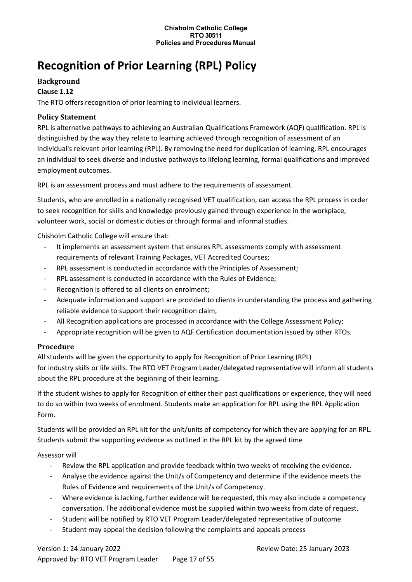# <span id="page-16-0"></span>**Recognition of Prior Learning (RPL) Policy**

### **Background**

#### **Clause 1.12**

The RTO offers recognition of prior learning to individual learners.

### **Policy Statement**

RPL is alternative pathways to achieving an Australian Qualifications Framework (AQF) qualification. RPL is distinguished by the way they relate to learning achieved through recognition of assessment of an individual's relevant prior learning (RPL). By removing the need for duplication of learning, RPL encourages an individual to seek diverse and inclusive pathways to lifelong learning, formal qualifications and improved employment outcomes.

RPL is an assessment process and must adhere to the requirements of assessment.

Students, who are enrolled in a nationally recognised VET qualification, can access the RPL process in order to seek recognition for skills and knowledge previously gained through experience in the workplace, volunteer work, social or domestic duties or through formal and informal studies.

Chisholm Catholic College will ensure that:

- It implements an assessment system that ensures RPL assessments comply with assessment requirements of relevant Training Packages, VET Accredited Courses;
- RPL assessment is conducted in accordance with the Principles of Assessment;
- RPL assessment is conducted in accordance with the Rules of Evidence;
- Recognition is offered to all clients on enrolment;
- Adequate information and support are provided to clients in understanding the process and gathering reliable evidence to support their recognition claim;
- All Recognition applications are processed in accordance with the College Assessment Policy;
- Appropriate recognition will be given to AQF Certification documentation issued by other RTOs.

# **Procedure**

All students will be given the opportunity to apply for Recognition of Prior Learning (RPL) for industry skills or life skills. The RTO VET Program Leader/delegated representative will inform all students about the RPL procedure at the beginning of their learning.

If the student wishes to apply for Recognition of either their past qualifications or experience, they will need to do so within two weeks of enrolment. Students make an application for RPL using the RPL Application Form.

Students will be provided an RPL kit for the unit/units of competency for which they are applying for an RPL. Students submit the supporting evidence as outlined in the RPL kit by the agreed time

#### Assessor will

- Review the RPL application and provide feedback within two weeks of receiving the evidence.
- Analyse the evidence against the Unit/s of Competency and determine if the evidence meets the Rules of Evidence and requirements of the Unit/s of Competency.
- Where evidence is lacking, further evidence will be requested, this may also include a competency conversation. The additional evidence must be supplied within two weeks from date of request.
- Student will be notified by RTO VET Program Leader/delegated representative of outcome
- Student may appeal the decision following the complaints and appeals process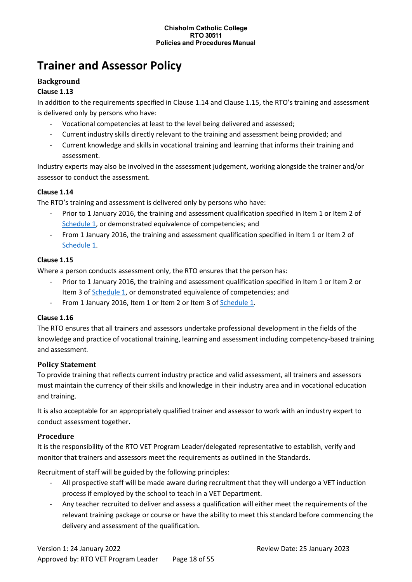# <span id="page-17-0"></span>**Trainer and Assessor Policy**

### **Background**

#### **Clause 1.13**

In addition to the requirements specified in Clause 1.14 and Clause 1.15, the RTO's training and assessment is delivered only by persons who have:

- Vocational competencies at least to the level being delivered and assessed;
- Current industry skills directly relevant to the training and assessment being provided; and
- Current knowledge and skills in vocational training and learning that informs their training and assessment.

Industry experts may also be involved in the assessment judgement, working alongside the trainer and/or assessor to conduct the assessment.

#### **Clause 1.14**

The RTO's training and assessment is delivered only by persons who have:

- Prior to 1 January 2016, the training and assessment qualification specified in Item 1 or Item 2 of [Schedule 1,](http://www.asqa.gov.au/users-guide-to-the-standards-for-registered-training-organisations-2015/appendices/appendix-2/appendix-2.html) or demonstrated equivalence of competencies; and
- From 1 January 2016, the training and assessment qualification specified in Item 1 or Item 2 of [Schedule 1.](http://www.asqa.gov.au/users-guide-to-the-standards-for-registered-training-organisations-2015/appendices/appendix-2/appendix-2.html)

#### **Clause 1.15**

Where a person conducts assessment only, the RTO ensures that the person has:

- Prior to 1 January 2016, the training and assessment qualification specified in Item 1 or Item 2 or Item 3 of [Schedule 1,](http://www.asqa.gov.au/users-guide-to-the-standards-for-registered-training-organisations-2015/appendices/appendix-2/appendix-2.html) or demonstrated equivalence of competencies; and
- From 1 January 2016, Item 1 or Item 2 or Item 3 of [Schedule 1.](http://www.asqa.gov.au/users-guide-to-the-standards-for-registered-training-organisations-2015/appendices/appendix-2/appendix-2.html)

#### **Clause 1.16**

The RTO ensures that all trainers and assessors undertake professional development in the fields of the knowledge and practice of vocational training, learning and assessment including competency-based training and assessment.

#### **Policy Statement**

To provide training that reflects current industry practice and valid assessment, all trainers and assessors must maintain the currency of their skills and knowledge in their industry area and in vocational education and training.

It is also acceptable for an appropriately qualified trainer and assessor to work with an industry expert to conduct assessment together.

#### **Procedure**

It is the responsibility of the RTO VET Program Leader/delegated representative to establish, verify and monitor that trainers and assessors meet the requirements as outlined in the Standards.

Recruitment of staff will be guided by the following principles:

- All prospective staff will be made aware during recruitment that they will undergo a VET induction process if employed by the school to teach in a VET Department.
- Any teacher recruited to deliver and assess a qualification will either meet the requirements of the relevant training package or course or have the ability to meet this standard before commencing the delivery and assessment of the qualification.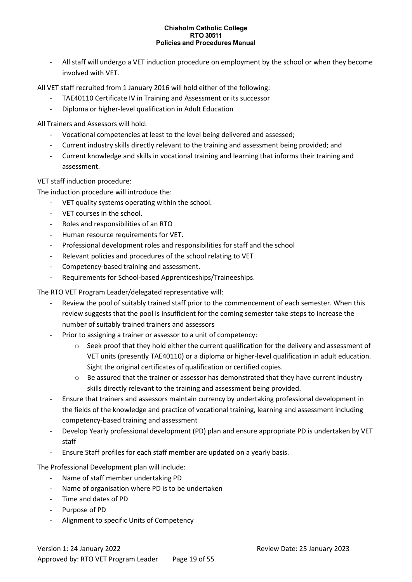All staff will undergo a VET induction procedure on employment by the school or when they become involved with VET.

All VET staff recruited from 1 January 2016 will hold either of the following:

- TAE40110 Certificate IV in Training and Assessment or its successor
- Diploma or higher-level qualification in Adult Education

All Trainers and Assessors will hold:

- Vocational competencies at least to the level being delivered and assessed;
- Current industry skills directly relevant to the training and assessment being provided; and
- Current knowledge and skills in vocational training and learning that informs their training and assessment.

VET staff induction procedure:

The induction procedure will introduce the:

- VET quality systems operating within the school.
- VET courses in the school.
- Roles and responsibilities of an RTO
- Human resource requirements for VET.
- Professional development roles and responsibilities for staff and the school
- Relevant policies and procedures of the school relating to VET
- Competency-based training and assessment.
- Requirements for School-based Apprenticeships/Traineeships.

The RTO VET Program Leader/delegated representative will:

- Review the pool of suitably trained staff prior to the commencement of each semester. When this review suggests that the pool is insufficient for the coming semester take steps to increase the number of suitably trained trainers and assessors
- Prior to assigning a trainer or assessor to a unit of competency:
	- $\circ$  Seek proof that they hold either the current qualification for the delivery and assessment of VET units (presently TAE40110) or a diploma or higher-level qualification in adult education. Sight the original certificates of qualification or certified copies.
	- $\circ$  Be assured that the trainer or assessor has demonstrated that they have current industry skills directly relevant to the training and assessment being provided.
- Ensure that trainers and assessors maintain currency by undertaking professional development in the fields of the knowledge and practice of vocational training, learning and assessment including competency-based training and assessment
- Develop Yearly professional development (PD) plan and ensure appropriate PD is undertaken by VET staff
- Ensure Staff profiles for each staff member are updated on a yearly basis.

The Professional Development plan will include:

- Name of staff member undertaking PD
- Name of organisation where PD is to be undertaken
- Time and dates of PD
- Purpose of PD
- Alignment to specific Units of Competency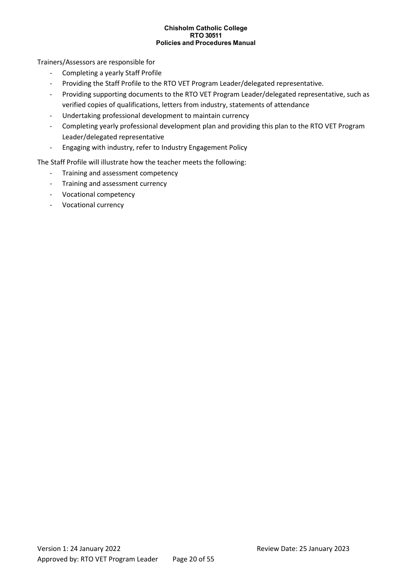Trainers/Assessors are responsible for

- Completing a yearly Staff Profile
- Providing the Staff Profile to the RTO VET Program Leader/delegated representative.
- Providing supporting documents to the RTO VET Program Leader/delegated representative, such as verified copies of qualifications, letters from industry, statements of attendance
- Undertaking professional development to maintain currency
- Completing yearly professional development plan and providing this plan to the RTO VET Program Leader/delegated representative
- Engaging with industry, refer to Industry Engagement Policy

The Staff Profile will illustrate how the teacher meets the following:

- Training and assessment competency
- Training and assessment currency
- Vocational competency
- Vocational currency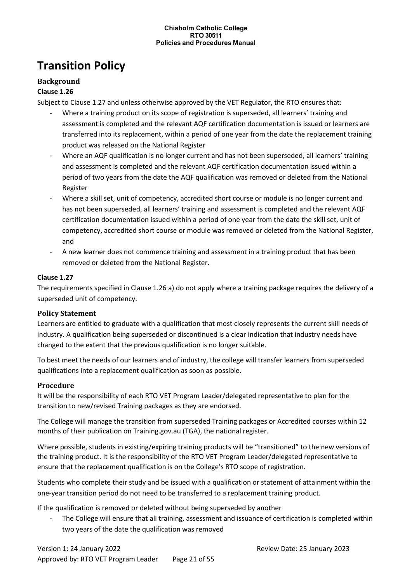# <span id="page-20-0"></span>**Transition Policy**

# **Background**

### **Clause 1.26**

Subject to Clause 1.27 and unless otherwise approved by the VET Regulator, the RTO ensures that:

- Where a training product on its scope of registration is superseded, all learners' training and assessment is completed and the relevant AQF certification documentation is issued or learners are transferred into its replacement, within a period of one year from the date the replacement training product was released on the National Register
- Where an AQF qualification is no longer current and has not been superseded, all learners' training and assessment is completed and the relevant AQF certification documentation issued within a period of two years from the date the AQF qualification was removed or deleted from the National Register
- Where a skill set, unit of competency, accredited short course or module is no longer current and has not been superseded, all learners' training and assessment is completed and the relevant AQF certification documentation issued within a period of one year from the date the skill set, unit of competency, accredited short course or module was removed or deleted from the National Register, and
- A new learner does not commence training and assessment in a training product that has been removed or deleted from the National Register.

#### **Clause 1.27**

The requirements specified in Clause 1.26 a) do not apply where a training package requires the delivery of a superseded unit of competency.

#### **Policy Statement**

Learners are entitled to graduate with a qualification that most closely represents the current skill needs of industry. A qualification being superseded or discontinued is a clear indication that industry needs have changed to the extent that the previous qualification is no longer suitable.

To best meet the needs of our learners and of industry, the college will transfer learners from superseded qualifications into a replacement qualification as soon as possible.

# **Procedure**

It will be the responsibility of each RTO VET Program Leader/delegated representative to plan for the transition to new/revised Training packages as they are endorsed.

The College will manage the transition from superseded Training packages or Accredited courses within 12 months of their publication on Training.gov.au (TGA), the national register.

Where possible, students in existing/expiring training products will be "transitioned" to the new versions of the training product. It is the responsibility of the RTO VET Program Leader/delegated representative to ensure that the replacement qualification is on the College's RTO scope of registration.

Students who complete their study and be issued with a qualification or statement of attainment within the one-year transition period do not need to be transferred to a replacement training product.

If the qualification is removed or deleted without being superseded by another

The College will ensure that all training, assessment and issuance of certification is completed within two years of the date the qualification was removed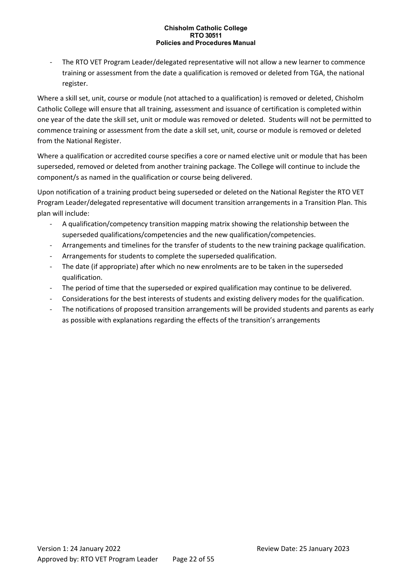The RTO VET Program Leader/delegated representative will not allow a new learner to commence training or assessment from the date a qualification is removed or deleted from TGA, the national register.

Where a skill set, unit, course or module (not attached to a qualification) is removed or deleted, Chisholm Catholic College will ensure that all training, assessment and issuance of certification is completed within one year of the date the skill set, unit or module was removed or deleted. Students will not be permitted to commence training or assessment from the date a skill set, unit, course or module is removed or deleted from the National Register.

Where a qualification or accredited course specifies a core or named elective unit or module that has been superseded, removed or deleted from another training package. The College will continue to include the component/s as named in the qualification or course being delivered.

Upon notification of a training product being superseded or deleted on the National Register the RTO VET Program Leader/delegated representative will document transition arrangements in a Transition Plan. This plan will include:

- A qualification/competency transition mapping matrix showing the relationship between the superseded qualifications/competencies and the new qualification/competencies.
- Arrangements and timelines for the transfer of students to the new training package qualification.
- Arrangements for students to complete the superseded qualification.
- The date (if appropriate) after which no new enrolments are to be taken in the superseded qualification.
- The period of time that the superseded or expired qualification may continue to be delivered.
- Considerations for the best interests of students and existing delivery modes for the qualification.
- The notifications of proposed transition arrangements will be provided students and parents as early as possible with explanations regarding the effects of the transition's arrangements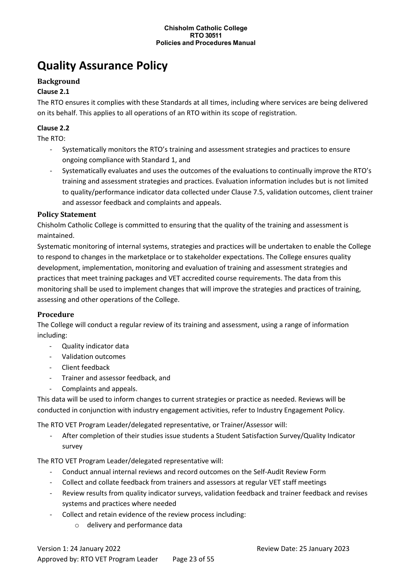# <span id="page-22-0"></span>**Quality Assurance Policy**

# **Background**

#### **Clause 2.1**

The RTO ensures it complies with these Standards at all times, including where services are being delivered on its behalf. This applies to all operations of an RTO within its scope of registration.

#### **Clause 2.2**

The RTO:

- Systematically monitors the RTO's training and assessment strategies and practices to ensure ongoing compliance with Standard 1, and
- Systematically evaluates and uses the outcomes of the evaluations to continually improve the RTO's training and assessment strategies and practices. Evaluation information includes but is not limited to quality/performance indicator data collected under Clause 7.5, validation outcomes, client trainer and assessor feedback and complaints and appeals.

#### **Policy Statement**

Chisholm Catholic College is committed to ensuring that the quality of the training and assessment is maintained.

Systematic monitoring of internal systems, strategies and practices will be undertaken to enable the College to respond to changes in the marketplace or to stakeholder expectations. The College ensures quality development, implementation, monitoring and evaluation of training and assessment strategies and practices that meet training packages and VET accredited course requirements. The data from this monitoring shall be used to implement changes that will improve the strategies and practices of training, assessing and other operations of the College.

#### **Procedure**

The College will conduct a regular review of its training and assessment, using a range of information including:

- Quality indicator data
- Validation outcomes
- Client feedback
- Trainer and assessor feedback, and
- Complaints and appeals.

This data will be used to inform changes to current strategies or practice as needed. Reviews will be conducted in conjunction with industry engagement activities, refer to Industry Engagement Policy.

The RTO VET Program Leader/delegated representative, or Trainer/Assessor will:

After completion of their studies issue students a Student Satisfaction Survey/Quality Indicator survey

The RTO VET Program Leader/delegated representative will:

- Conduct annual internal reviews and record outcomes on the Self-Audit Review Form
- Collect and collate feedback from trainers and assessors at regular VET staff meetings
- Review results from quality indicator surveys, validation feedback and trainer feedback and revises systems and practices where needed
- Collect and retain evidence of the review process including:
	- o delivery and performance data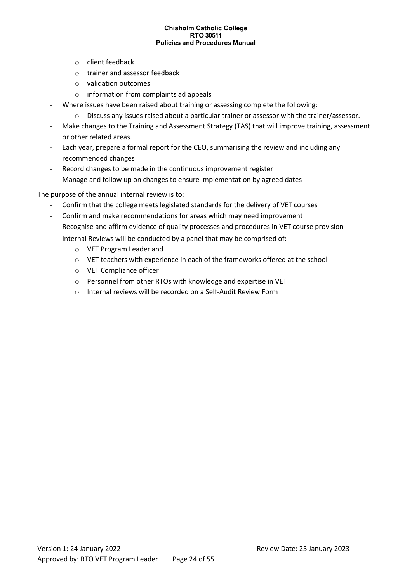- o client feedback
- o trainer and assessor feedback
- o validation outcomes
- o information from complaints ad appeals
- Where issues have been raised about training or assessing complete the following:
	- o Discuss any issues raised about a particular trainer or assessor with the trainer/assessor.
- Make changes to the Training and Assessment Strategy (TAS) that will improve training, assessment or other related areas.
- Each year, prepare a formal report for the CEO, summarising the review and including any recommended changes
- Record changes to be made in the continuous improvement register
- Manage and follow up on changes to ensure implementation by agreed dates

The purpose of the annual internal review is to:

- Confirm that the college meets legislated standards for the delivery of VET courses
- Confirm and make recommendations for areas which may need improvement
- Recognise and affirm evidence of quality processes and procedures in VET course provision
- Internal Reviews will be conducted by a panel that may be comprised of:
	- o VET Program Leader and
	- o VET teachers with experience in each of the frameworks offered at the school
	- o VET Compliance officer
	- o Personnel from other RTOs with knowledge and expertise in VET
	- o Internal reviews will be recorded on a Self-Audit Review Form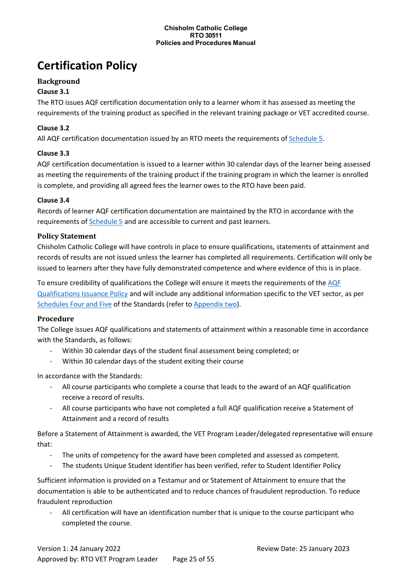# <span id="page-24-0"></span>**Certification Policy**

# **Background**

### **Clause 3.1**

The RTO issues AQF certification documentation only to a learner whom it has assessed as meeting the requirements of the training product as specified in the relevant training package or VET accredited course.

### **Clause 3.2**

All AQF certification documentation issued by an RTO meets the requirements of [Schedule 5.](http://www.asqa.gov.au/users-guide-to-the-standards-for-registered-training-organisations-2015/appendices/appendix-2/appendix-2.html)

#### **Clause 3.3**

AQF certification documentation is issued to a learner within 30 calendar days of the learner being assessed as meeting the requirements of the training product if the training program in which the learner is enrolled is complete, and providing all agreed fees the learner owes to the RTO have been paid.

#### **Clause 3.4**

Records of learner AQF certification documentation are maintained by the RTO in accordance with the requirements of [Schedule 5](http://www.asqa.gov.au/users-guide-to-the-standards-for-registered-training-organisations-2015/appendices/appendix-2/appendix-2.html) and are accessible to current and past learners.

#### **Policy Statement**

Chisholm Catholic College will have controls in place to ensure qualifications, statements of attainment and records of results are not issued unless the learner has completed all requirements. Certification will only be issued to learners after they have fully demonstrated competence and where evidence of this is in place.

To ensure credibility of qualifications the College will ensure it meets the requirements of the AQF [Qualifications Issuance Policy](http://www.aqf.edu.au/aqf/in-detail/aqf-policies/) and will include any additional information specific to the VET sector, as per [Schedules Four and Five](http://www.asqa.gov.au/users-guide-to-the-standards-for-registered-training-organisations-2015/appendices/appendix-2/appendix-2.html) of the Standards (refer to [Appendix two\)](http://www.asqa.gov.au/users-guide-to-the-standards-for-registered-training-organisations-2015/appendices/appendix-2/appendix-2.html).

#### **Procedure**

The College issues AQF qualifications and statements of attainment within a reasonable time in accordance with the Standards, as follows:

- Within 30 calendar days of the student final assessment being completed; or
- Within 30 calendar days of the student exiting their course

In accordance with the Standards:

- All course participants who complete a course that leads to the award of an AQF qualification receive a record of results.
- All course participants who have not completed a full AQF qualification receive a Statement of Attainment and a record of results

Before a Statement of Attainment is awarded, the VET Program Leader/delegated representative will ensure that:

- The units of competency for the award have been completed and assessed as competent.
- The students Unique Student Identifier has been verified, refer to Student Identifier Policy

Sufficient information is provided on a Testamur and or Statement of Attainment to ensure that the documentation is able to be authenticated and to reduce chances of fraudulent reproduction. To reduce fraudulent reproduction

All certification will have an identification number that is unique to the course participant who completed the course.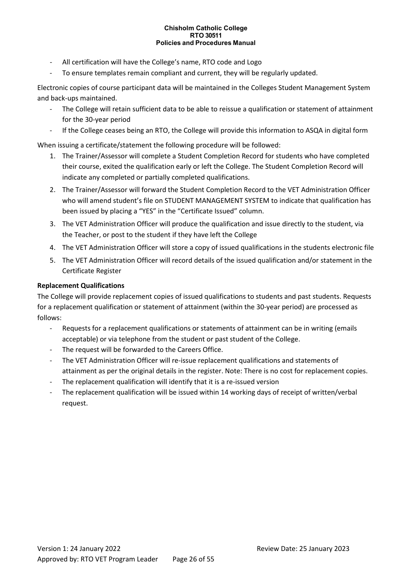- All certification will have the College's name, RTO code and Logo
- To ensure templates remain compliant and current, they will be regularly updated.

Electronic copies of course participant data will be maintained in the Colleges Student Management System and back-ups maintained.

- The College will retain sufficient data to be able to reissue a qualification or statement of attainment for the 30-year period
- If the College ceases being an RTO, the College will provide this information to ASQA in digital form

When issuing a certificate/statement the following procedure will be followed:

- 1. The Trainer/Assessor will complete a Student Completion Record for students who have completed their course, exited the qualification early or left the College. The Student Completion Record will indicate any completed or partially completed qualifications.
- 2. The Trainer/Assessor will forward the Student Completion Record to the VET Administration Officer who will amend student's file on STUDENT MANAGEMENT SYSTEM to indicate that qualification has been issued by placing a "YES" in the "Certificate Issued" column.
- 3. The VET Administration Officer will produce the qualification and issue directly to the student, via the Teacher, or post to the student if they have left the College
- 4. The VET Administration Officer will store a copy of issued qualifications in the students electronic file
- 5. The VET Administration Officer will record details of the issued qualification and/or statement in the Certificate Register

#### **Replacement Qualifications**

The College will provide replacement copies of issued qualifications to students and past students. Requests for a replacement qualification or statement of attainment (within the 30-year period) are processed as follows:

- Requests for a replacement qualifications or statements of attainment can be in writing (emails acceptable) or via telephone from the student or past student of the College.
- The request will be forwarded to the Careers Office.
- The VET Administration Officer will re-issue replacement qualifications and statements of attainment as per the original details in the register. Note: There is no cost for replacement copies.
- The replacement qualification will identify that it is a re-issued version
- The replacement qualification will be issued within 14 working days of receipt of written/verbal request.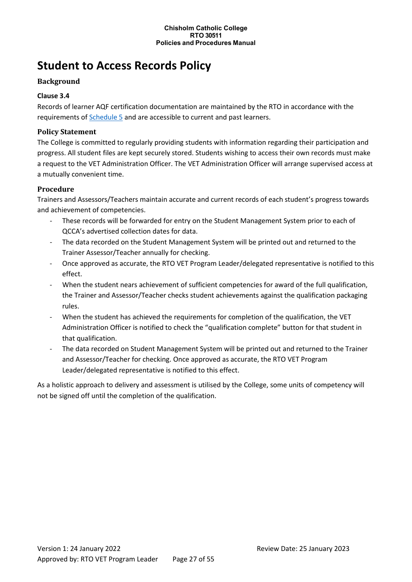# <span id="page-26-0"></span>**Student to Access Records Policy**

# **Background**

# **Clause 3.4**

Records of learner AQF certification documentation are maintained by the RTO in accordance with the requirements of [Schedule 5](http://www.asqa.gov.au/users-guide-to-the-standards-for-registered-training-organisations-2015/appendices/appendix-2/appendix-2.html) and are accessible to current and past learners.

# **Policy Statement**

The College is committed to regularly providing students with information regarding their participation and progress. All student files are kept securely stored. Students wishing to access their own records must make a request to the VET Administration Officer. The VET Administration Officer will arrange supervised access at a mutually convenient time.

# **Procedure**

Trainers and Assessors/Teachers maintain accurate and current records of each student's progress towards and achievement of competencies.

- These records will be forwarded for entry on the Student Management System prior to each of QCCA's advertised collection dates for data.
- The data recorded on the Student Management System will be printed out and returned to the Trainer Assessor/Teacher annually for checking.
- Once approved as accurate, the RTO VET Program Leader/delegated representative is notified to this effect.
- When the student nears achievement of sufficient competencies for award of the full qualification, the Trainer and Assessor/Teacher checks student achievements against the qualification packaging rules.
- When the student has achieved the requirements for completion of the qualification, the VET Administration Officer is notified to check the "qualification complete" button for that student in that qualification.
- The data recorded on Student Management System will be printed out and returned to the Trainer and Assessor/Teacher for checking. Once approved as accurate, the RTO VET Program Leader/delegated representative is notified to this effect.

As a holistic approach to delivery and assessment is utilised by the College, some units of competency will not be signed off until the completion of the qualification.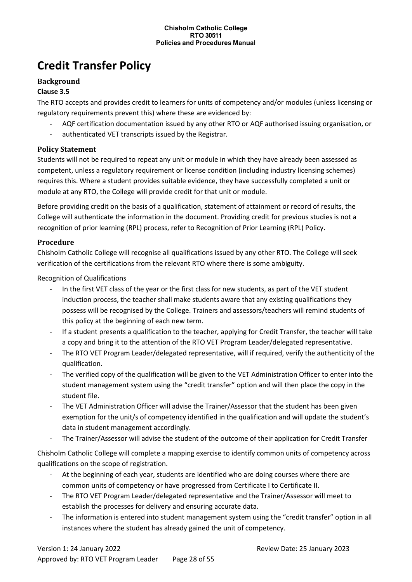# <span id="page-27-0"></span>**Credit Transfer Policy**

#### **Background**

#### **Clause 3.5**

The RTO accepts and provides credit to learners for units of competency and/or modules (unless licensing or regulatory requirements prevent this) where these are evidenced by:

- AQF certification documentation issued by any other RTO or AQF authorised issuing organisation, or
- authenticated VET transcripts issued by the Registrar.

#### **Policy Statement**

Students will not be required to repeat any unit or module in which they have already been assessed as competent, unless a regulatory requirement or license condition (including industry licensing schemes) requires this. Where a student provides suitable evidence, they have successfully completed a unit or module at any RTO, the College will provide credit for that unit or module.

Before providing credit on the basis of a qualification, statement of attainment or record of results, the College will authenticate the information in the document. Providing credit for previous studies is not a recognition of prior learning (RPL) process, refer to Recognition of Prior Learning (RPL) Policy.

#### **Procedure**

Chisholm Catholic College will recognise all qualifications issued by any other RTO. The College will seek verification of the certifications from the relevant RTO where there is some ambiguity.

Recognition of Qualifications

- In the first VET class of the year or the first class for new students, as part of the VET student induction process, the teacher shall make students aware that any existing qualifications they possess will be recognised by the College. Trainers and assessors/teachers will remind students of this policy at the beginning of each new term.
- If a student presents a qualification to the teacher, applying for Credit Transfer, the teacher will take a copy and bring it to the attention of the RTO VET Program Leader/delegated representative.
- The RTO VET Program Leader/delegated representative, will if required, verify the authenticity of the qualification.
- The verified copy of the qualification will be given to the VET Administration Officer to enter into the student management system using the "credit transfer" option and will then place the copy in the student file.
- The VET Administration Officer will advise the Trainer/Assessor that the student has been given exemption for the unit/s of competency identified in the qualification and will update the student's data in student management accordingly.
- The Trainer/Assessor will advise the student of the outcome of their application for Credit Transfer

Chisholm Catholic College will complete a mapping exercise to identify common units of competency across qualifications on the scope of registration.

- At the beginning of each year, students are identified who are doing courses where there are common units of competency or have progressed from Certificate I to Certificate II.
- The RTO VET Program Leader/delegated representative and the Trainer/Assessor will meet to establish the processes for delivery and ensuring accurate data.
- The information is entered into student management system using the "credit transfer" option in all instances where the student has already gained the unit of competency.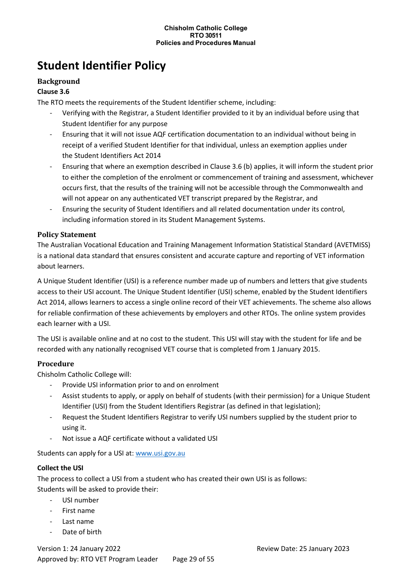# <span id="page-28-0"></span>**Student Identifier Policy**

### **Background**

#### **Clause 3.6**

The RTO meets the requirements of the Student Identifier scheme, including:

- Verifying with the Registrar, a Student Identifier provided to it by an individual before using that Student Identifier for any purpose
- Ensuring that it will not issue AQF certification documentation to an individual without being in receipt of a verified Student Identifier for that individual, unless an exemption applies under the Student Identifiers Act 2014
- Ensuring that where an exemption described in Clause 3.6 (b) applies, it will inform the student prior to either the completion of the enrolment or commencement of training and assessment, whichever occurs first, that the results of the training will not be accessible through the Commonwealth and will not appear on any authenticated VET transcript prepared by the Registrar, and
- Ensuring the security of Student Identifiers and all related documentation under its control, including information stored in its Student Management Systems.

#### **Policy Statement**

The Australian Vocational Education and Training Management Information Statistical Standard (AVETMISS) is a national data standard that ensures consistent and accurate capture and reporting of VET information about learners.

A Unique Student Identifier (USI) is a reference number made up of numbers and letters that give students access to their USI account. The Unique Student Identifier (USI) scheme, enabled by the Student Identifiers Act 2014, allows learners to access a single online record of their VET achievements. The scheme also allows for reliable confirmation of these achievements by employers and other RTOs. The online system provides each learner with a USI.

The USI is available online and at no cost to the student. This USI will stay with the student for life and be recorded with any nationally recognised VET course that is completed from 1 January 2015.

# **Procedure**

Chisholm Catholic College will:

- Provide USI information prior to and on enrolment
- Assist students to apply, or apply on behalf of students (with their permission) for a Unique Student Identifier (USI) from the Student Identifiers Registrar (as defined in that legislation);
- Request the Student Identifiers Registrar to verify USI numbers supplied by the student prior to using it.
- Not issue a AQF certificate without a validated USI

Students can apply for a USI at: [www.usi.gov.au](http://www.usi.gov.au/)

#### **Collect the USI**

The process to collect a USI from a student who has created their own USI is as follows: Students will be asked to provide their:

- USI number
- First name
- Last name
- Date of birth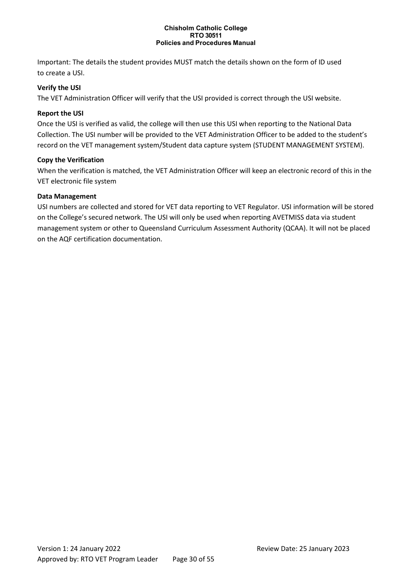Important: The details the student provides MUST match the details shown on the form of ID used to create a USI.

#### **Verify the USI**

The VET Administration Officer will verify that the USI provided is correct through the USI website.

#### **Report the USI**

Once the USI is verified as valid, the college will then use this USI when reporting to the National Data Collection. The USI number will be provided to the VET Administration Officer to be added to the student's record on the VET management system/Student data capture system (STUDENT MANAGEMENT SYSTEM).

#### **Copy the Verification**

When the verification is matched, the VET Administration Officer will keep an electronic record of this in the VET electronic file system

#### **Data Management**

USI numbers are collected and stored for VET data reporting to VET Regulator. USI information will be stored on the College's secured network. The USI will only be used when reporting AVETMISS data via student management system or other to Queensland Curriculum Assessment Authority (QCAA). It will not be placed on the AQF certification documentation.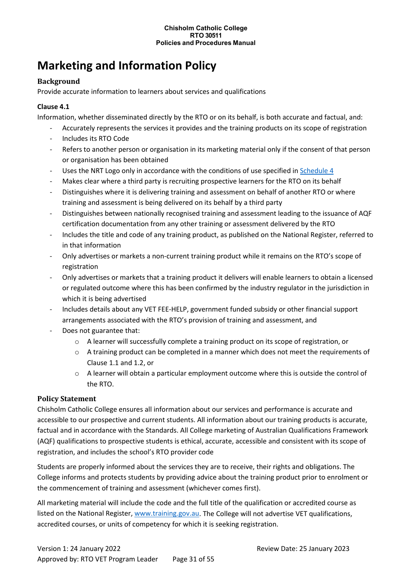# <span id="page-30-0"></span>**Marketing and Information Policy**

# **Background**

Provide accurate information to learners about services and qualifications

# **Clause 4.1**

Information, whether disseminated directly by the RTO or on its behalf, is both accurate and factual, and:

- Accurately represents the services it provides and the training products on its scope of registration
- Includes its RTO Code
- Refers to another person or organisation in its marketing material only if the consent of that person or organisation has been obtained
- Uses the NRT Logo only in accordance with the conditions of use specified in [Schedule 4](http://www.asqa.gov.au/users-guide-to-the-standards-for-registered-training-organisations-2015/appendices/appendix-2/appendix-2.html)
- Makes clear where a third party is recruiting prospective learners for the RTO on its behalf
- Distinguishes where it is delivering training and assessment on behalf of another RTO or where training and assessment is being delivered on its behalf by a third party
- Distinguishes between nationally recognised training and assessment leading to the issuance of AQF certification documentation from any other training or assessment delivered by the RTO
- Includes the title and code of any training product, as published on the National Register, referred to in that information
- Only advertises or markets a non-current training product while it remains on the RTO's scope of registration
- Only advertises or markets that a training product it delivers will enable learners to obtain a licensed or regulated outcome where this has been confirmed by the industry regulator in the jurisdiction in which it is being advertised
- Includes details about any VET FEE-HELP, government funded subsidy or other financial support arrangements associated with the RTO's provision of training and assessment, and
- Does not guarantee that:
	- o A learner will successfully complete a training product on its scope of registration, or
	- $\circ$  A training product can be completed in a manner which does not meet the requirements of Clause 1.1 and 1.2, or
	- $\circ$  A learner will obtain a particular employment outcome where this is outside the control of the RTO.

# **Policy Statement**

Chisholm Catholic College ensures all information about our services and performance is accurate and accessible to our prospective and current students. All information about our training products is accurate, factual and in accordance with the Standards. All College marketing of Australian Qualifications Framework (AQF) qualifications to prospective students is ethical, accurate, accessible and consistent with its scope of registration, and includes the school's RTO provider code

Students are properly informed about the services they are to receive, their rights and obligations. The College informs and protects students by providing advice about the training product prior to enrolment or the commencement of training and assessment (whichever comes first).

All marketing material will include the code and the full title of the qualification or accredited course as listed on the National Register, [www.training.gov.au.](http://www.training.gov.au/) The College will not advertise VET qualifications, accredited courses, or units of competency for which it is seeking registration.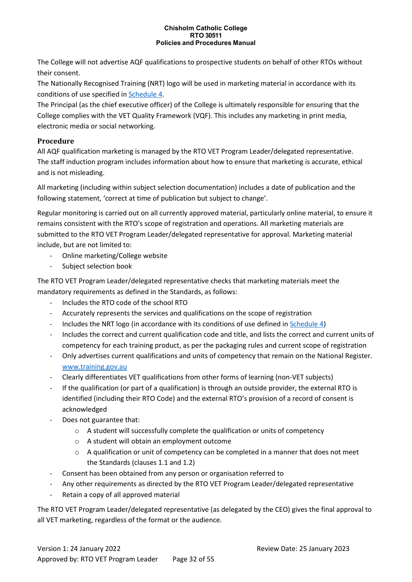The College will not advertise AQF qualifications to prospective students on behalf of other RTOs without their consent.

The Nationally Recognised Training (NRT) logo will be used in marketing material in accordance with its conditions of use specified in [Schedule 4.](http://www.asqa.gov.au/users-guide-to-the-standards-for-registered-training-organisations-2015/appendices/appendix-2/appendix-2.html)

The Principal (as the chief executive officer) of the College is ultimately responsible for ensuring that the College complies with the VET Quality Framework (VQF). This includes any marketing in print media, electronic media or social networking.

# **Procedure**

All AQF qualification marketing is managed by the RTO VET Program Leader/delegated representative. The staff induction program includes information about how to ensure that marketing is accurate, ethical and is not misleading.

All marketing (including within subject selection documentation) includes a date of publication and the following statement, 'correct at time of publication but subject to change'.

Regular monitoring is carried out on all currently approved material, particularly online material, to ensure it remains consistent with the RTO's scope of registration and operations. All marketing materials are submitted to the RTO VET Program Leader/delegated representative for approval. Marketing material include, but are not limited to:

- Online marketing/College website
- Subject selection book

The RTO VET Program Leader/delegated representative checks that marketing materials meet the mandatory requirements as defined in the Standards, as follows:

- Includes the RTO code of the school RTO
- Accurately represents the services and qualifications on the scope of registration
- Includes the NRT logo (in accordance with its conditions of use defined in [Schedule 4\)](http://www.asqa.gov.au/users-guide-to-the-standards-for-registered-training-organisations-2015/appendices/appendix-2/appendix-2.html)
- Includes the correct and current qualification code and title, and lists the correct and current units of competency for each training product, as per the packaging rules and current scope of registration
- Only advertises current qualifications and units of competency that remain on the National Register. [www.training.gov.au](http://www.training.gov.au/)
- Clearly differentiates VET qualifications from other forms of learning (non-VET subjects)
- If the qualification (or part of a qualification) is through an outside provider, the external RTO is identified (including their RTO Code) and the external RTO's provision of a record of consent is acknowledged
- Does not guarantee that:
	- o A student will successfully complete the qualification or units of competency
	- o A student will obtain an employment outcome
	- $\circ$  A qualification or unit of competency can be completed in a manner that does not meet the Standards (clauses 1.1 and 1.2)
- Consent has been obtained from any person or organisation referred to
- Any other requirements as directed by the RTO VET Program Leader/delegated representative
- Retain a copy of all approved material

The RTO VET Program Leader/delegated representative (as delegated by the CEO) gives the final approval to all VET marketing, regardless of the format or the audience.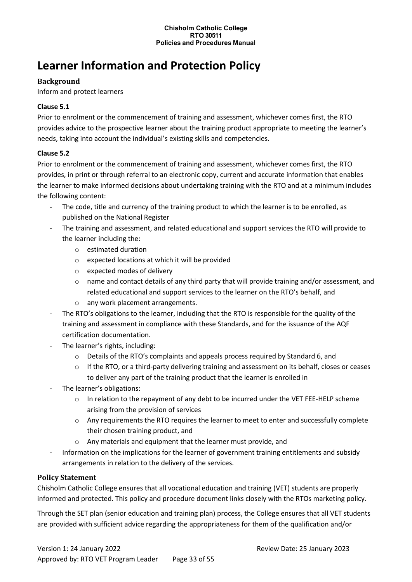# <span id="page-32-0"></span>**Learner Information and Protection Policy**

### **Background**

Inform and protect learners

#### **Clause 5.1**

Prior to enrolment or the commencement of training and assessment, whichever comes first, the RTO provides advice to the prospective learner about the training product appropriate to meeting the learner's needs, taking into account the individual's existing skills and competencies.

#### **Clause 5.2**

Prior to enrolment or the commencement of training and assessment, whichever comes first, the RTO provides, in print or through referral to an electronic copy, current and accurate information that enables the learner to make informed decisions about undertaking training with the RTO and at a minimum includes the following content:

- The code, title and currency of the training product to which the learner is to be enrolled, as published on the National Register
- The training and assessment, and related educational and support services the RTO will provide to the learner including the:
	- o estimated duration
	- o expected locations at which it will be provided
	- o expected modes of delivery
	- $\circ$  name and contact details of any third party that will provide training and/or assessment, and related educational and support services to the learner on the RTO's behalf, and
	- o any work placement arrangements.
- The RTO's obligations to the learner, including that the RTO is responsible for the quality of the training and assessment in compliance with these Standards, and for the issuance of the AQF certification documentation.
- The learner's rights, including:
	- o Details of the RTO's complaints and appeals process required by Standard 6, and
	- $\circ$  If the RTO, or a third-party delivering training and assessment on its behalf, closes or ceases to deliver any part of the training product that the learner is enrolled in
- The learner's obligations:
	- $\circ$  In relation to the repayment of any debt to be incurred under the VET FEE-HELP scheme arising from the provision of services
	- $\circ$  Any requirements the RTO requires the learner to meet to enter and successfully complete their chosen training product, and
	- Any materials and equipment that the learner must provide, and
- Information on the implications for the learner of government training entitlements and subsidy arrangements in relation to the delivery of the services.

#### **Policy Statement**

Chisholm Catholic College ensures that all vocational education and training (VET) students are properly informed and protected. This policy and procedure document links closely with the RTOs marketing policy.

Through the SET plan (senior education and training plan) process, the College ensures that all VET students are provided with sufficient advice regarding the appropriateness for them of the qualification and/or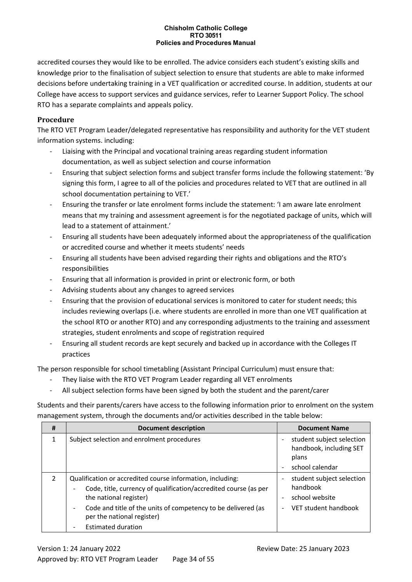accredited courses they would like to be enrolled. The advice considers each student's existing skills and knowledge prior to the finalisation of subject selection to ensure that students are able to make informed decisions before undertaking training in a VET qualification or accredited course. In addition, students at our College have access to support services and guidance services, refer to Learner Support Policy. The school RTO has a separate complaints and appeals policy.

### **Procedure**

The RTO VET Program Leader/delegated representative has responsibility and authority for the VET student information systems. including:

- Liaising with the Principal and vocational training areas regarding student information documentation, as well as subject selection and course information
- Ensuring that subject selection forms and subject transfer forms include the following statement: 'By signing this form, I agree to all of the policies and procedures related to VET that are outlined in all school documentation pertaining to VET.'
- Ensuring the transfer or late enrolment forms include the statement: 'I am aware late enrolment means that my training and assessment agreement is for the negotiated package of units, which will lead to a statement of attainment.'
- Ensuring all students have been adequately informed about the appropriateness of the qualification or accredited course and whether it meets students' needs
- Ensuring all students have been advised regarding their rights and obligations and the RTO's responsibilities
- Ensuring that all information is provided in print or electronic form, or both
- Advising students about any changes to agreed services
- Ensuring that the provision of educational services is monitored to cater for student needs; this includes reviewing overlaps (i.e. where students are enrolled in more than one VET qualification at the school RTO or another RTO) and any corresponding adjustments to the training and assessment strategies, student enrolments and scope of registration required
- Ensuring all student records are kept securely and backed up in accordance with the Colleges IT practices

The person responsible for school timetabling (Assistant Principal Curriculum) must ensure that:

- They liaise with the RTO VET Program Leader regarding all VET enrolments
- All subject selection forms have been signed by both the student and the parent/carer

Students and their parents/carers have access to the following information prior to enrolment on the system management system, through the documents and/or activities described in the table below:

| #              | Document description                                                                                                                                                                                                                                    |                                                      | <b>Document Name</b>                                                            |
|----------------|---------------------------------------------------------------------------------------------------------------------------------------------------------------------------------------------------------------------------------------------------------|------------------------------------------------------|---------------------------------------------------------------------------------|
| 1              | Subject selection and enrolment procedures                                                                                                                                                                                                              | $\overline{\phantom{0}}$                             | student subject selection<br>handbook, including SET<br>plans                   |
|                |                                                                                                                                                                                                                                                         | ۰                                                    | school calendar                                                                 |
| $\overline{2}$ | Qualification or accredited course information, including:<br>Code, title, currency of qualification/accredited course (as per<br>the national register)<br>Code and title of the units of competency to be delivered (as<br>per the national register) | $\overline{\phantom{0}}$<br>$\overline{\phantom{0}}$ | student subject selection<br>handbook<br>school website<br>VET student handbook |
|                | <b>Estimated duration</b>                                                                                                                                                                                                                               |                                                      |                                                                                 |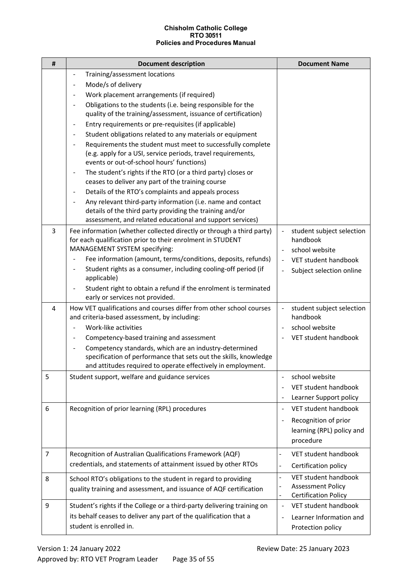| $\pmb{\sharp}$ | <b>Document description</b>                                                                                                                                                                                            | <b>Document Name</b>                                         |
|----------------|------------------------------------------------------------------------------------------------------------------------------------------------------------------------------------------------------------------------|--------------------------------------------------------------|
|                | Training/assessment locations<br>$\overline{\phantom{a}}$                                                                                                                                                              |                                                              |
|                | Mode/s of delivery<br>$\overline{\phantom{a}}$                                                                                                                                                                         |                                                              |
|                | Work placement arrangements (if required)                                                                                                                                                                              |                                                              |
|                | Obligations to the students (i.e. being responsible for the<br>quality of the training/assessment, issuance of certification)                                                                                          |                                                              |
|                | Entry requirements or pre-requisites (if applicable)<br>$\overline{\phantom{a}}$                                                                                                                                       |                                                              |
|                | Student obligations related to any materials or equipment<br>$\blacksquare$                                                                                                                                            |                                                              |
|                | Requirements the student must meet to successfully complete<br>(e.g. apply for a USI, service periods, travel requirements,<br>events or out-of-school hours' functions)                                               |                                                              |
|                | The student's rights if the RTO (or a third party) closes or<br>$\blacksquare$<br>ceases to deliver any part of the training course                                                                                    |                                                              |
|                | Details of the RTO's complaints and appeals process<br>$\overline{\phantom{a}}$                                                                                                                                        |                                                              |
|                | Any relevant third-party information (i.e. name and contact<br>details of the third party providing the training and/or<br>assessment, and related educational and support services)                                   |                                                              |
| 3              | Fee information (whether collected directly or through a third party)<br>for each qualification prior to their enrolment in STUDENT<br>MANAGEMENT SYSTEM specifying:                                                   | student subject selection<br>handbook<br>school website      |
|                | Fee information (amount, terms/conditions, deposits, refunds)                                                                                                                                                          | VET student handbook                                         |
|                | Student rights as a consumer, including cooling-off period (if<br>$\blacksquare$<br>applicable)                                                                                                                        | Subject selection online<br>$\blacksquare$                   |
|                | Student right to obtain a refund if the enrolment is terminated<br>early or services not provided.                                                                                                                     |                                                              |
| $\overline{4}$ | How VET qualifications and courses differ from other school courses<br>and criteria-based assessment, by including:                                                                                                    | student subject selection<br>handbook                        |
|                | Work-like activities                                                                                                                                                                                                   | school website                                               |
|                | Competency-based training and assessment<br>$\blacksquare$                                                                                                                                                             | VET student handbook                                         |
|                | Competency standards, which are an industry-determined<br>$\overline{\phantom{a}}$<br>specification of performance that sets out the skills, knowledge<br>and attitudes required to operate effectively in employment. |                                                              |
| 5              | Student support, welfare and guidance services                                                                                                                                                                         | school website<br>$\overline{\phantom{a}}$                   |
|                |                                                                                                                                                                                                                        | VET student handbook                                         |
|                |                                                                                                                                                                                                                        | Learner Support policy                                       |
| 6              | Recognition of prior learning (RPL) procedures                                                                                                                                                                         | VET student handbook                                         |
|                |                                                                                                                                                                                                                        | Recognition of prior                                         |
|                |                                                                                                                                                                                                                        | learning (RPL) policy and                                    |
|                |                                                                                                                                                                                                                        | procedure                                                    |
| $\overline{7}$ | Recognition of Australian Qualifications Framework (AQF)                                                                                                                                                               | VET student handbook<br>$\qquad \qquad \blacksquare$         |
|                | credentials, and statements of attainment issued by other RTOs                                                                                                                                                         | Certification policy<br>$\overline{\phantom{0}}$             |
|                |                                                                                                                                                                                                                        | VET student handbook<br>$\overline{\phantom{0}}$             |
| 8              | School RTO's obligations to the student in regard to providing<br>quality training and assessment, and issuance of AQF certification                                                                                   | <b>Assessment Policy</b><br><b>Certification Policy</b><br>- |
| 9              | Student's rights if the College or a third-party delivering training on                                                                                                                                                | VET student handbook                                         |
|                | its behalf ceases to deliver any part of the qualification that a                                                                                                                                                      | Learner Information and<br>$\blacksquare$                    |
|                | student is enrolled in.                                                                                                                                                                                                | Protection policy                                            |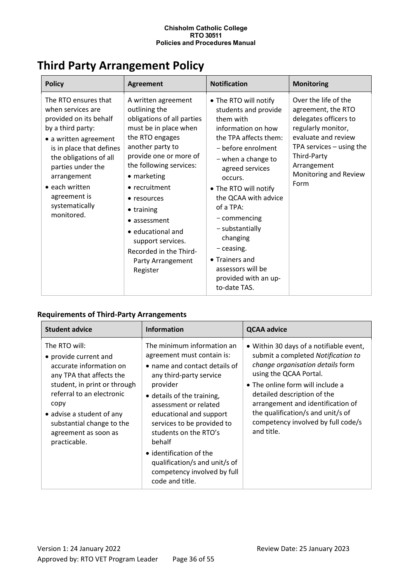# <span id="page-35-0"></span>**Third Party Arrangement Policy**

| <b>Policy</b>                                                                                                                                                                                                                                                                         | <b>Agreement</b>                                                                                                                                                                                                                                                                                                                                                          | <b>Notification</b>                                                                                                                                                                                                                                                                                                                                                                           | <b>Monitoring</b>                                                                                                                                                                                             |
|---------------------------------------------------------------------------------------------------------------------------------------------------------------------------------------------------------------------------------------------------------------------------------------|---------------------------------------------------------------------------------------------------------------------------------------------------------------------------------------------------------------------------------------------------------------------------------------------------------------------------------------------------------------------------|-----------------------------------------------------------------------------------------------------------------------------------------------------------------------------------------------------------------------------------------------------------------------------------------------------------------------------------------------------------------------------------------------|---------------------------------------------------------------------------------------------------------------------------------------------------------------------------------------------------------------|
| The RTO ensures that<br>when services are<br>provided on its behalf<br>by a third party:<br>• a written agreement<br>is in place that defines<br>the obligations of all<br>parties under the<br>arrangement<br>$\bullet$ each written<br>agreement is<br>systematically<br>monitored. | A written agreement<br>outlining the<br>obligations of all parties<br>must be in place when<br>the RTO engages<br>another party to<br>provide one or more of<br>the following services:<br>• marketing<br>• recruitment<br>• resources<br>• training<br>• assessment<br>· educational and<br>support services.<br>Recorded in the Third-<br>Party Arrangement<br>Register | • The RTO will notify<br>students and provide<br>them with<br>information on how<br>the TPA affects them:<br>- before enrolment<br>- when a change to<br>agreed services<br>occurs.<br>• The RTO will notify<br>the QCAA with advice<br>of a TPA:<br>- commencing<br>- substantially<br>changing<br>- ceasing.<br>• Trainers and<br>assessors will be<br>provided with an up-<br>to-date TAS. | Over the life of the<br>agreement, the RTO<br>delegates officers to<br>regularly monitor,<br>evaluate and review<br>TPA services $-$ using the<br>Third-Party<br>Arrangement<br>Monitoring and Review<br>Form |

# **Requirements of Third-Party Arrangements**

| <b>Student advice</b>                                                                                                                                                                                                                                                | <b>Information</b>                                                                                                                                                                                                                                                                                                                                                                                | <b>QCAA advice</b>                                                                                                                                                                                                                                                                                                                           |
|----------------------------------------------------------------------------------------------------------------------------------------------------------------------------------------------------------------------------------------------------------------------|---------------------------------------------------------------------------------------------------------------------------------------------------------------------------------------------------------------------------------------------------------------------------------------------------------------------------------------------------------------------------------------------------|----------------------------------------------------------------------------------------------------------------------------------------------------------------------------------------------------------------------------------------------------------------------------------------------------------------------------------------------|
| The RTO will:<br>• provide current and<br>accurate information on<br>any TPA that affects the<br>student, in print or through<br>referral to an electronic<br>copy<br>• advise a student of any<br>substantial change to the<br>agreement as soon as<br>practicable. | The minimum information an<br>agreement must contain is:<br>• name and contact details of<br>any third-party service<br>provider<br>• details of the training,<br>assessment or related<br>educational and support<br>services to be provided to<br>students on the RTO's<br>behalf<br>• identification of the<br>qualification/s and unit/s of<br>competency involved by full<br>code and title. | • Within 30 days of a notifiable event,<br>submit a completed Notification to<br>change organisation details form<br>using the QCAA Portal.<br>• The online form will include a<br>detailed description of the<br>arrangement and identification of<br>the qualification/s and unit/s of<br>competency involved by full code/s<br>and title. |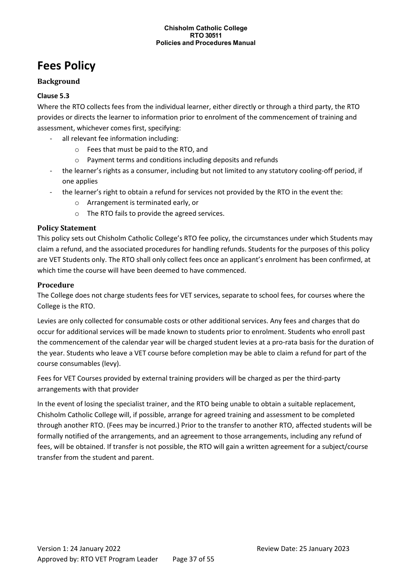# <span id="page-36-0"></span>**Fees Policy**

### **Background**

#### **Clause 5.3**

Where the RTO collects fees from the individual learner, either directly or through a third party, the RTO provides or directs the learner to information prior to enrolment of the commencement of training and assessment, whichever comes first, specifying:

- all relevant fee information including:
	- o Fees that must be paid to the RTO, and
	- o Payment terms and conditions including deposits and refunds
- the learner's rights as a consumer, including but not limited to any statutory cooling-off period, if one applies
- the learner's right to obtain a refund for services not provided by the RTO in the event the:
	- o Arrangement is terminated early, or
	- o The RTO fails to provide the agreed services.

#### **Policy Statement**

This policy sets out Chisholm Catholic College's RTO fee policy, the circumstances under which Students may claim a refund, and the associated procedures for handling refunds. Students for the purposes of this policy are VET Students only. The RTO shall only collect fees once an applicant's enrolment has been confirmed, at which time the course will have been deemed to have commenced.

#### **Procedure**

The College does not charge students fees for VET services, separate to school fees, for courses where the College is the RTO.

Levies are only collected for consumable costs or other additional services. Any fees and charges that do occur for additional services will be made known to students prior to enrolment. Students who enroll past the commencement of the calendar year will be charged student levies at a pro-rata basis for the duration of the year. Students who leave a VET course before completion may be able to claim a refund for part of the course consumables (levy).

Fees for VET Courses provided by external training providers will be charged as per the third-party arrangements with that provider

In the event of losing the specialist trainer, and the RTO being unable to obtain a suitable replacement, Chisholm Catholic College will, if possible, arrange for agreed training and assessment to be completed through another RTO. (Fees may be incurred.) Prior to the transfer to another RTO, affected students will be formally notified of the arrangements, and an agreement to those arrangements, including any refund of fees, will be obtained. If transfer is not possible, the RTO will gain a written agreement for a subject/course transfer from the student and parent.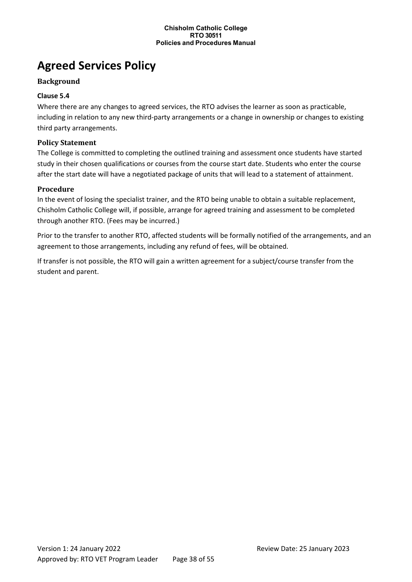# <span id="page-37-0"></span>**Agreed Services Policy**

# **Background**

# **Clause 5.4**

Where there are any changes to agreed services, the RTO advises the learner as soon as practicable, including in relation to any new third-party arrangements or a change in ownership or changes to existing third party arrangements.

### **Policy Statement**

The College is committed to completing the outlined training and assessment once students have started study in their chosen qualifications or courses from the course start date. Students who enter the course after the start date will have a negotiated package of units that will lead to a statement of attainment.

#### **Procedure**

In the event of losing the specialist trainer, and the RTO being unable to obtain a suitable replacement, Chisholm Catholic College will, if possible, arrange for agreed training and assessment to be completed through another RTO. (Fees may be incurred.)

Prior to the transfer to another RTO, affected students will be formally notified of the arrangements, and an agreement to those arrangements, including any refund of fees, will be obtained.

If transfer is not possible, the RTO will gain a written agreement for a subject/course transfer from the student and parent.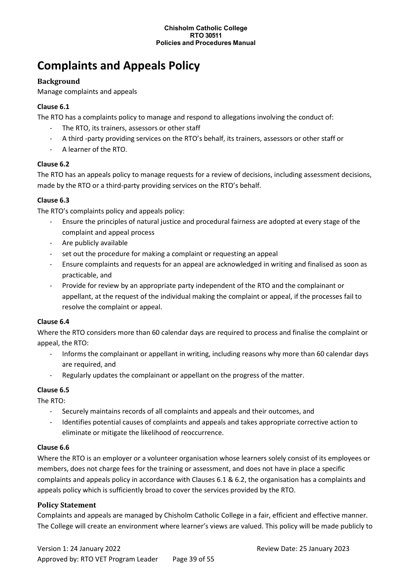# <span id="page-38-0"></span>**Complaints and Appeals Policy**

### **Background**

Manage complaints and appeals

#### **Clause 6.1**

The RTO has a complaints policy to manage and respond to allegations involving the conduct of:

- The RTO, its trainers, assessors or other staff
- A third -party providing services on the RTO's behalf, its trainers, assessors or other staff or
- A learner of the RTO.

#### **Clause 6.2**

The RTO has an appeals policy to manage requests for a review of decisions, including assessment decisions, made by the RTO or a third-party providing services on the RTO's behalf.

#### **Clause 6.3**

The RTO's complaints policy and appeals policy:

- Ensure the principles of natural justice and procedural fairness are adopted at every stage of the complaint and appeal process
- Are publicly available
- set out the procedure for making a complaint or requesting an appeal
- Ensure complaints and requests for an appeal are acknowledged in writing and finalised as soon as practicable, and
- Provide for review by an appropriate party independent of the RTO and the complainant or appellant, at the request of the individual making the complaint or appeal, if the processes fail to resolve the complaint or appeal.

#### **Clause 6.4**

Where the RTO considers more than 60 calendar days are required to process and finalise the complaint or appeal, the RTO:

- Informs the complainant or appellant in writing, including reasons why more than 60 calendar days are required, and
- Regularly updates the complainant or appellant on the progress of the matter.

# **Clause 6.5**

The RTO:

- Securely maintains records of all complaints and appeals and their outcomes, and
- Identifies potential causes of complaints and appeals and takes appropriate corrective action to eliminate or mitigate the likelihood of reoccurrence.

# **Clause 6.6**

Where the RTO is an employer or a volunteer organisation whose learners solely consist of its employees or members, does not charge fees for the training or assessment, and does not have in place a specific complaints and appeals policy in accordance with Clauses 6.1 & 6.2, the organisation has a complaints and appeals policy which is sufficiently broad to cover the services provided by the RTO.

# **Policy Statement**

Complaints and appeals are managed by Chisholm Catholic College in a fair, efficient and effective manner. The College will create an environment where learner's views are valued. This policy will be made publicly to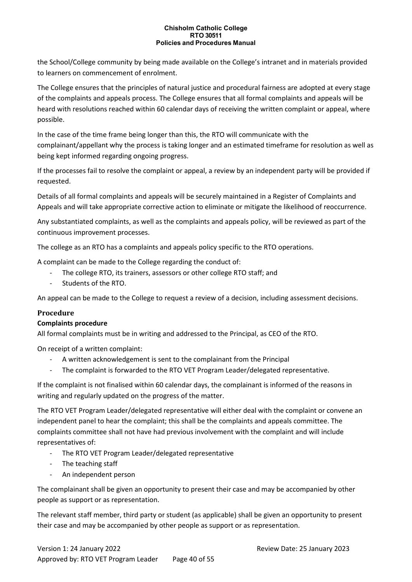the School/College community by being made available on the College's intranet and in materials provided to learners on commencement of enrolment.

The College ensures that the principles of natural justice and procedural fairness are adopted at every stage of the complaints and appeals process. The College ensures that all formal complaints and appeals will be heard with resolutions reached within 60 calendar days of receiving the written complaint or appeal, where possible.

In the case of the time frame being longer than this, the RTO will communicate with the complainant/appellant why the process is taking longer and an estimated timeframe for resolution as well as being kept informed regarding ongoing progress.

If the processes fail to resolve the complaint or appeal, a review by an independent party will be provided if requested.

Details of all formal complaints and appeals will be securely maintained in a Register of Complaints and Appeals and will take appropriate corrective action to eliminate or mitigate the likelihood of reoccurrence.

Any substantiated complaints, as well as the complaints and appeals policy, will be reviewed as part of the continuous improvement processes.

The college as an RTO has a complaints and appeals policy specific to the RTO operations.

A complaint can be made to the College regarding the conduct of:

- The college RTO, its trainers, assessors or other college RTO staff; and
- Students of the RTO.

An appeal can be made to the College to request a review of a decision, including assessment decisions.

# **Procedure**

#### **Complaints procedure**

All formal complaints must be in writing and addressed to the Principal, as CEO of the RTO.

On receipt of a written complaint:

- A written acknowledgement is sent to the complainant from the Principal
- The complaint is forwarded to the RTO VET Program Leader/delegated representative.

If the complaint is not finalised within 60 calendar days, the complainant is informed of the reasons in writing and regularly updated on the progress of the matter.

The RTO VET Program Leader/delegated representative will either deal with the complaint or convene an independent panel to hear the complaint; this shall be the complaints and appeals committee. The complaints committee shall not have had previous involvement with the complaint and will include representatives of:

- The RTO VET Program Leader/delegated representative
- The teaching staff
- An independent person

The complainant shall be given an opportunity to present their case and may be accompanied by other people as support or as representation.

The relevant staff member, third party or student (as applicable) shall be given an opportunity to present their case and may be accompanied by other people as support or as representation.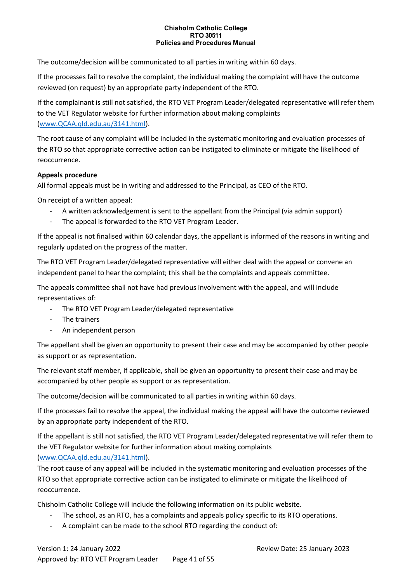The outcome/decision will be communicated to all parties in writing within 60 days.

If the processes fail to resolve the complaint, the individual making the complaint will have the outcome reviewed (on request) by an appropriate party independent of the RTO.

If the complainant is still not satisfied, the RTO VET Program Leader/delegated representative will refer them to the VET Regulator website for further information about making complaints [\(www.QCAA.qld.edu.au/3141.html\)](http://www.qcaa.qld.edu.au/3141.html).

The root cause of any complaint will be included in the systematic monitoring and evaluation processes of the RTO so that appropriate corrective action can be instigated to eliminate or mitigate the likelihood of reoccurrence.

#### **Appeals procedure**

All formal appeals must be in writing and addressed to the Principal, as CEO of the RTO.

On receipt of a written appeal:

- A written acknowledgement is sent to the appellant from the Principal (via admin support)
- The appeal is forwarded to the RTO VET Program Leader.

If the appeal is not finalised within 60 calendar days, the appellant is informed of the reasons in writing and regularly updated on the progress of the matter.

The RTO VET Program Leader/delegated representative will either deal with the appeal or convene an independent panel to hear the complaint; this shall be the complaints and appeals committee.

The appeals committee shall not have had previous involvement with the appeal, and will include representatives of:

- The RTO VET Program Leader/delegated representative
- The trainers
- An independent person

The appellant shall be given an opportunity to present their case and may be accompanied by other people as support or as representation.

The relevant staff member, if applicable, shall be given an opportunity to present their case and may be accompanied by other people as support or as representation.

The outcome/decision will be communicated to all parties in writing within 60 days.

If the processes fail to resolve the appeal, the individual making the appeal will have the outcome reviewed by an appropriate party independent of the RTO.

If the appellant is still not satisfied, the RTO VET Program Leader/delegated representative will refer them to the VET Regulator website for further information about making complaints [\(www.QCAA.qld.edu.au/3141.html\)](http://www.qcaa.qld.edu.au/3141.html).

The root cause of any appeal will be included in the systematic monitoring and evaluation processes of the RTO so that appropriate corrective action can be instigated to eliminate or mitigate the likelihood of reoccurrence.

Chisholm Catholic College will include the following information on its public website.

- The school, as an RTO, has a complaints and appeals policy specific to its RTO operations.
- A complaint can be made to the school RTO regarding the conduct of: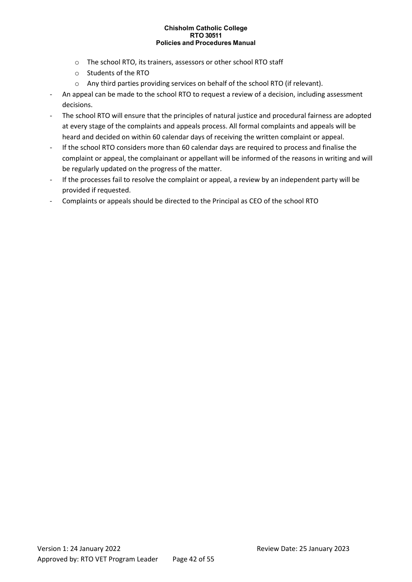- o The school RTO, its trainers, assessors or other school RTO staff
- o Students of the RTO
- o Any third parties providing services on behalf of the school RTO (if relevant).
- An appeal can be made to the school RTO to request a review of a decision, including assessment decisions.
- The school RTO will ensure that the principles of natural justice and procedural fairness are adopted at every stage of the complaints and appeals process. All formal complaints and appeals will be heard and decided on within 60 calendar days of receiving the written complaint or appeal.
- If the school RTO considers more than 60 calendar days are required to process and finalise the complaint or appeal, the complainant or appellant will be informed of the reasons in writing and will be regularly updated on the progress of the matter.
- If the processes fail to resolve the complaint or appeal, a review by an independent party will be provided if requested.
- Complaints or appeals should be directed to the Principal as CEO of the school RTO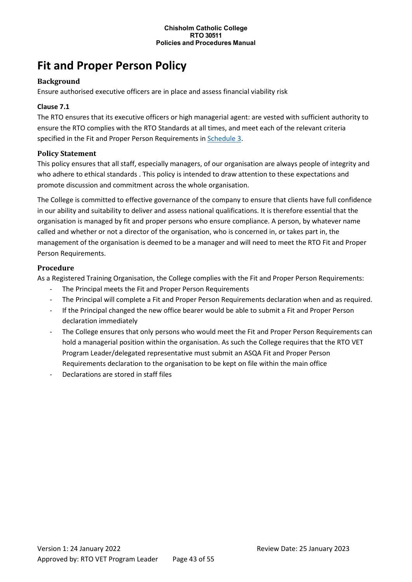# <span id="page-42-0"></span>**Fit and Proper Person Policy**

#### **Background**

Ensure authorised executive officers are in place and assess financial viability risk

#### **Clause 7.1**

The RTO ensures that its executive officers or high managerial agent: are vested with sufficient authority to ensure the RTO complies with the RTO Standards at all times, and meet each of the relevant criteria specified in the Fit and Proper Person Requirements in [Schedule 3.](http://www.asqa.gov.au/users-guide-to-the-standards-for-registered-training-organisations-2015/appendices/appendix-2/appendix-2.html)

#### **Policy Statement**

This policy ensures that all staff, especially managers, of our organisation are always people of integrity and who adhere to ethical standards . This policy is intended to draw attention to these expectations and promote discussion and commitment across the whole organisation.

The College is committed to effective governance of the company to ensure that clients have full confidence in our ability and suitability to deliver and assess national qualifications. It is therefore essential that the organisation is managed by fit and proper persons who ensure compliance. A person, by whatever name called and whether or not a director of the organisation, who is concerned in, or takes part in, the management of the organisation is deemed to be a manager and will need to meet the RTO Fit and Proper Person Requirements.

#### **Procedure**

As a Registered Training Organisation, the College complies with the Fit and Proper Person Requirements:

- The Principal meets the Fit and Proper Person Requirements
- The Principal will complete a Fit and Proper Person Requirements declaration when and as required.
- If the Principal changed the new office bearer would be able to submit a Fit and Proper Person declaration immediately
- The College ensures that only persons who would meet the Fit and Proper Person Requirements can hold a managerial position within the organisation. As such the College requires that the RTO VET Program Leader/delegated representative must submit an ASQA Fit and Proper Person Requirements declaration to the organisation to be kept on file within the main office
- Declarations are stored in staff files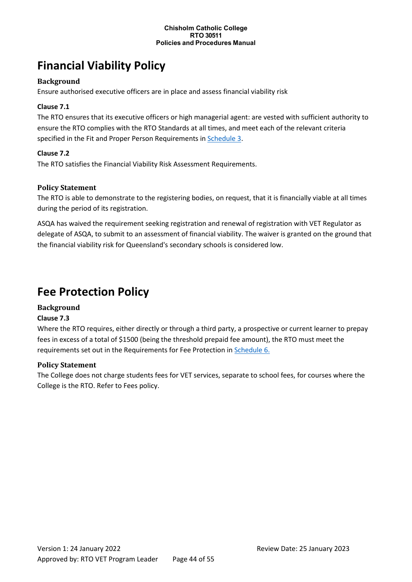# <span id="page-43-0"></span>**Financial Viability Policy**

### **Background**

Ensure authorised executive officers are in place and assess financial viability risk

### **Clause 7.1**

The RTO ensures that its executive officers or high managerial agent: are vested with sufficient authority to ensure the RTO complies with the RTO Standards at all times, and meet each of the relevant criteria specified in the Fit and Proper Person Requirements in [Schedule 3.](http://www.asqa.gov.au/users-guide-to-the-standards-for-registered-training-organisations-2015/appendices/appendix-2/appendix-2.html)

#### **Clause 7.2**

The RTO satisfies the Financial Viability Risk Assessment Requirements.

#### **Policy Statement**

The RTO is able to demonstrate to the registering bodies, on request, that it is financially viable at all times during the period of its registration.

ASQA has waived the requirement seeking registration and renewal of registration with VET Regulator as delegate of ASQA, to submit to an assessment of financial viability. The waiver is granted on the ground that the financial viability risk for Queensland's secondary schools is considered low.

# <span id="page-43-1"></span>**Fee Protection Policy**

# **Background**

#### **Clause 7.3**

Where the RTO requires, either directly or through a third party, a prospective or current learner to prepay fees in excess of a total of \$1500 (being the threshold prepaid fee amount), the RTO must meet the requirements set out in the Requirements for Fee Protection i[n Schedule 6.](http://www.asqa.gov.au/users-guide-to-the-standards-for-registered-training-organisations-2015/appendices/appendix-2/appendix-2.html)

#### **Policy Statement**

The College does not charge students fees for VET services, separate to school fees, for courses where the College is the RTO. Refer to Fees policy.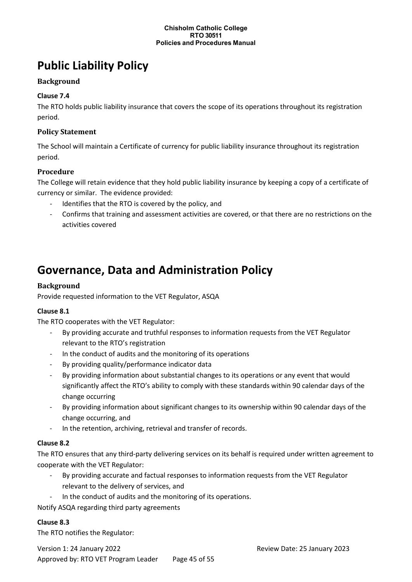# <span id="page-44-0"></span>**Public Liability Policy**

# **Background**

# **Clause 7.4**

The RTO holds public liability insurance that covers the scope of its operations throughout its registration period.

#### **Policy Statement**

The School will maintain a Certificate of currency for public liability insurance throughout its registration period.

#### **Procedure**

The College will retain evidence that they hold public liability insurance by keeping a copy of a certificate of currency or similar. The evidence provided:

- Identifies that the RTO is covered by the policy, and
- Confirms that training and assessment activities are covered, or that there are no restrictions on the activities covered

# <span id="page-44-1"></span>**Governance, Data and Administration Policy**

#### **Background**

Provide requested information to the VET Regulator, ASQA

#### **Clause 8.1**

The RTO cooperates with the VET Regulator:

- By providing accurate and truthful responses to information requests from the VET Regulator relevant to the RTO's registration
- In the conduct of audits and the monitoring of its operations
- By providing quality/performance indicator data
- By providing information about substantial changes to its operations or any event that would significantly affect the RTO's ability to comply with these standards within 90 calendar days of the change occurring
- By providing information about significant changes to its ownership within 90 calendar days of the change occurring, and
- In the retention, archiving, retrieval and transfer of records.

#### **Clause 8.2**

The RTO ensures that any third-party delivering services on its behalf is required under written agreement to cooperate with the VET Regulator:

- By providing accurate and factual responses to information requests from the VET Regulator relevant to the delivery of services, and
- In the conduct of audits and the monitoring of its operations.

Notify ASQA regarding third party agreements

#### **Clause 8.3**

The RTO notifies the Regulator:

Version 1: 24 January 2022 Review Date: 25 January 2023 Approved by: RTO VET Program Leader Page 45 of 55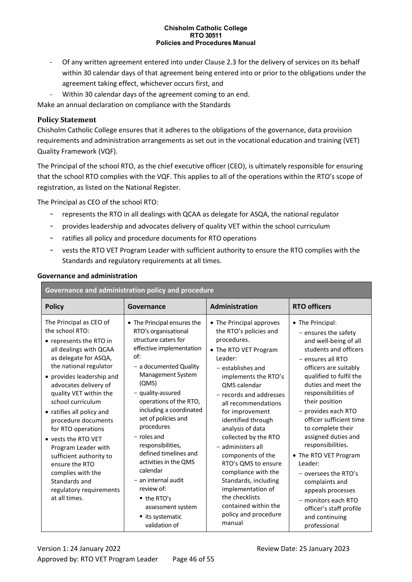- Of any written agreement entered into under Clause 2.3 for the delivery of services on its behalf within 30 calendar days of that agreement being entered into or prior to the obligations under the agreement taking effect, whichever occurs first, and
- Within 30 calendar days of the agreement coming to an end.

Make an annual declaration on compliance with the Standards

#### **Policy Statement**

Chisholm Catholic College ensures that it adheres to the obligations of the governance, data provision requirements and administration arrangements as set out in the vocational education and training (VET) Quality Framework (VQF).

The Principal of the school RTO, as the chief executive officer (CEO), is ultimately responsible for ensuring that the school RTO complies with the VQF. This applies to all of the operations within the RTO's scope of registration, as listed on the National Register.

The Principal as CEO of the school RTO:

- represents the RTO in all dealings with QCAA as delegate for ASQA, the national regulator
- provides leadership and advocates delivery of quality VET within the school curriculum
- ratifies all policy and procedure documents for RTO operations
- vests the RTO VET Program Leader with sufficient authority to ensure the RTO complies with the Standards and regulatory requirements at all times.

| Governance and administration policy and procedure                                                                                                                                                                                                                                                                                                                                                                                                                                                             |                                                                                                                                                                                                                                                                                                                                                                                                                                                                                                                      |                                                                                                                                                                                                                                                                                                                                                                                                                                                                                                                            |                                                                                                                                                                                                                                                                                                                                                                                                                                                                                                                                               |  |
|----------------------------------------------------------------------------------------------------------------------------------------------------------------------------------------------------------------------------------------------------------------------------------------------------------------------------------------------------------------------------------------------------------------------------------------------------------------------------------------------------------------|----------------------------------------------------------------------------------------------------------------------------------------------------------------------------------------------------------------------------------------------------------------------------------------------------------------------------------------------------------------------------------------------------------------------------------------------------------------------------------------------------------------------|----------------------------------------------------------------------------------------------------------------------------------------------------------------------------------------------------------------------------------------------------------------------------------------------------------------------------------------------------------------------------------------------------------------------------------------------------------------------------------------------------------------------------|-----------------------------------------------------------------------------------------------------------------------------------------------------------------------------------------------------------------------------------------------------------------------------------------------------------------------------------------------------------------------------------------------------------------------------------------------------------------------------------------------------------------------------------------------|--|
| <b>Policy</b>                                                                                                                                                                                                                                                                                                                                                                                                                                                                                                  | Governance                                                                                                                                                                                                                                                                                                                                                                                                                                                                                                           | Administration                                                                                                                                                                                                                                                                                                                                                                                                                                                                                                             | <b>RTO officers</b>                                                                                                                                                                                                                                                                                                                                                                                                                                                                                                                           |  |
| The Principal as CEO of<br>the school RTO:<br>• represents the RTO in<br>all dealings with QCAA<br>as delegate for ASQA,<br>the national regulator<br>• provides leadership and<br>advocates delivery of<br>quality VET within the<br>school curriculum<br>• ratifies all policy and<br>procedure documents<br>for RTO operations<br>• vests the RTO VET<br>Program Leader with<br>sufficient authority to<br>ensure the RTO<br>complies with the<br>Standards and<br>regulatory requirements<br>at all times. | • The Principal ensures the<br>RTO's organisational<br>structure caters for<br>effective implementation<br>of:<br>- a documented Quality<br>Management System<br>(QMS)<br>- quality-assured<br>operations of the RTO,<br>including a coordinated<br>set of policies and<br>procedures<br>$-$ roles and<br>responsibilities,<br>defined timelines and<br>activities in the QMS<br>calendar<br>- an internal audit<br>review of:<br>$\blacksquare$ the RTO's<br>assessment system<br>■ its systematic<br>validation of | • The Principal approves<br>the RTO's policies and<br>procedures.<br>• The RTO VET Program<br>Leader:<br>- establishes and<br>implements the RTO's<br>QMS calendar<br>- records and addresses<br>all recommendations<br>for improvement<br>identified through<br>analysis of data<br>collected by the RTO<br>- administers all<br>components of the<br>RTO's QMS to ensure<br>compliance with the<br>Standards, including<br>implementation of<br>the checklists<br>contained within the<br>policy and procedure<br>manual | • The Principal:<br>- ensures the safety<br>and well-being of all<br>students and officers<br>- ensures all RTO<br>officers are suitably<br>qualified to fulfil the<br>duties and meet the<br>responsibilities of<br>their position<br>- provides each RTO<br>officer sufficient time<br>to complete their<br>assigned duties and<br>responsibilities.<br>• The RTO VET Program<br>Leader:<br>- oversees the RTO's<br>complaints and<br>appeals processes<br>- monitors each RTO<br>officer's staff profile<br>and continuing<br>professional |  |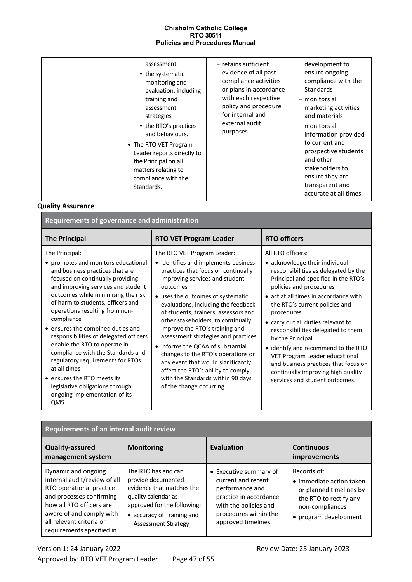#### **Quality Assurance**

| Requirements of governance and administration                                                                                                                                                                                                                                                                                                                                                                                                                                                                                                                                                                    |                                                                                                                                                                                                                                                                                                                                                                                                                                                                                                                                                                                                                     |                                                                                                                                                                                                                                                                                                                                                                                                                                                                                                                                                  |  |  |
|------------------------------------------------------------------------------------------------------------------------------------------------------------------------------------------------------------------------------------------------------------------------------------------------------------------------------------------------------------------------------------------------------------------------------------------------------------------------------------------------------------------------------------------------------------------------------------------------------------------|---------------------------------------------------------------------------------------------------------------------------------------------------------------------------------------------------------------------------------------------------------------------------------------------------------------------------------------------------------------------------------------------------------------------------------------------------------------------------------------------------------------------------------------------------------------------------------------------------------------------|--------------------------------------------------------------------------------------------------------------------------------------------------------------------------------------------------------------------------------------------------------------------------------------------------------------------------------------------------------------------------------------------------------------------------------------------------------------------------------------------------------------------------------------------------|--|--|
| <b>The Principal</b>                                                                                                                                                                                                                                                                                                                                                                                                                                                                                                                                                                                             | <b>RTO VET Program Leader</b>                                                                                                                                                                                                                                                                                                                                                                                                                                                                                                                                                                                       | <b>RTO officers</b>                                                                                                                                                                                                                                                                                                                                                                                                                                                                                                                              |  |  |
| The Principal:<br>• promotes and monitors educational<br>and business practices that are<br>focused on continually providing<br>and improving services and student<br>outcomes while minimising the risk<br>of harm to students, officers and<br>operations resulting from non-<br>compliance<br>• ensures the combined duties and<br>responsibilities of delegated officers<br>enable the RTO to operate in<br>compliance with the Standards and<br>regulatory requirements for RTOs<br>at all times<br>• ensures the RTO meets its<br>legislative obligations through<br>ongoing implementation of its<br>QMS. | The RTO VET Program Leader:<br>• identifies and implements business<br>practices that focus on continually<br>improving services and student<br>outcomes<br>• uses the outcomes of systematic<br>evaluations, including the feedback<br>of students, trainers, assessors and<br>other stakeholders, to continually<br>improve the RTO's training and<br>assessment strategies and practices<br>• informs the QCAA of substantial<br>changes to the RTO's operations or<br>any event that would significantly<br>affect the RTO's ability to comply<br>with the Standards within 90 days<br>of the change occurring. | All RTO officers:<br>• acknowledge their individual<br>responsibilities as delegated by the<br>Principal and specified in the RTO's<br>policies and procedures<br>• act at all times in accordance with<br>the RTO's current policies and<br>procedures<br>• carry out all duties relevant to<br>responsibilities delegated to them<br>by the Principal<br>• identify and recommend to the RTO<br>VET Program Leader educational<br>and business practices that focus on<br>continually improving high quality<br>services and student outcomes. |  |  |

| Requirements of an internal audit review                                                                                                                                                                                     |                                                                                                                                                                                          |                                                                                                                                                                    |                                                                                                                                          |  |
|------------------------------------------------------------------------------------------------------------------------------------------------------------------------------------------------------------------------------|------------------------------------------------------------------------------------------------------------------------------------------------------------------------------------------|--------------------------------------------------------------------------------------------------------------------------------------------------------------------|------------------------------------------------------------------------------------------------------------------------------------------|--|
| <b>Quality-assured</b><br>management system                                                                                                                                                                                  | <b>Monitoring</b>                                                                                                                                                                        | Evaluation                                                                                                                                                         | <b>Continuous</b><br>improvements                                                                                                        |  |
| Dynamic and ongoing<br>internal audit/review of all<br>RTO operational practice<br>and processes confirming<br>how all RTO officers are<br>aware of and comply with<br>all relevant criteria or<br>requirements specified in | The RTO has and can<br>provide documented<br>evidence that matches the<br>quality calendar as<br>approved for the following:<br>• accuracy of Training and<br><b>Assessment Strategy</b> | • Executive summary of<br>current and recent<br>performance and<br>practice in accordance<br>with the policies and<br>procedures within the<br>approved timelines. | Records of:<br>• immediate action taken<br>or planned timelines by<br>the RTO to rectify any<br>non-compliances<br>• program development |  |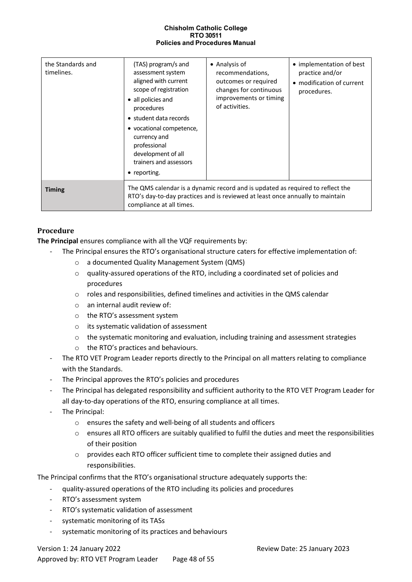| the Standards and<br>timelines. | (TAS) program/s and<br>assessment system<br>aligned with current<br>scope of registration<br>• all policies and<br>procedures<br>• student data records<br>• vocational competence,<br>currency and<br>professional<br>development of all<br>trainers and assessors<br>• reporting. | • Analysis of<br>recommendations,<br>outcomes or required<br>changes for continuous<br>improvements or timing<br>of activities. | • implementation of best<br>practice and/or<br>• modification of current<br>procedures. |
|---------------------------------|-------------------------------------------------------------------------------------------------------------------------------------------------------------------------------------------------------------------------------------------------------------------------------------|---------------------------------------------------------------------------------------------------------------------------------|-----------------------------------------------------------------------------------------|
| <b>Timing</b>                   | The QMS calendar is a dynamic record and is updated as required to reflect the<br>RTO's day-to-day practices and is reviewed at least once annually to maintain<br>compliance at all times.                                                                                         |                                                                                                                                 |                                                                                         |

# **Procedure**

**The Principal** ensures compliance with all the VQF requirements by:

- The Principal ensures the RTO's organisational structure caters for effective implementation of:
	- o a documented Quality Management System (QMS)
	- o quality-assured operations of the RTO, including a coordinated set of policies and procedures
	- o roles and responsibilities, defined timelines and activities in the QMS calendar
	- o an internal audit review of:
	- o the RTO's assessment system
	- o its systematic validation of assessment
	- $\circ$  the systematic monitoring and evaluation, including training and assessment strategies
	- o the RTO's practices and behaviours.
	- The RTO VET Program Leader reports directly to the Principal on all matters relating to compliance with the Standards.
	- The Principal approves the RTO's policies and procedures
	- The Principal has delegated responsibility and sufficient authority to the RTO VET Program Leader for all day-to-day operations of the RTO, ensuring compliance at all times.
	- The Principal:
		- o ensures the safety and well-being of all students and officers
		- $\circ$  ensures all RTO officers are suitably qualified to fulfil the duties and meet the responsibilities of their position
		- o provides each RTO officer sufficient time to complete their assigned duties and responsibilities.

The Principal confirms that the RTO's organisational structure adequately supports the:

- quality-assured operations of the RTO including its policies and procedures
- RTO's assessment system
- RTO's systematic validation of assessment
- systematic monitoring of its TASs
- systematic monitoring of its practices and behaviours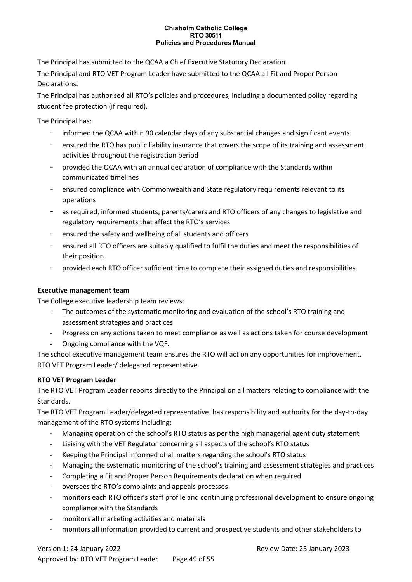The Principal has submitted to the QCAA a Chief Executive Statutory Declaration.

The Principal and RTO VET Program Leader have submitted to the QCAA all Fit and Proper Person Declarations.

The Principal has authorised all RTO's policies and procedures, including a documented policy regarding student fee protection (if required).

The Principal has:

- informed the QCAA within 90 calendar days of any substantial changes and significant events
- ensured the RTO has public liability insurance that covers the scope of its training and assessment activities throughout the registration period
- provided the QCAA with an annual declaration of compliance with the Standards within communicated timelines
- ensured compliance with Commonwealth and State regulatory requirements relevant to its operations
- as required, informed students, parents/carers and RTO officers of any changes to legislative and regulatory requirements that affect the RTO's services
- ensured the safety and wellbeing of all students and officers
- ensured all RTO officers are suitably qualified to fulfil the duties and meet the responsibilities of their position
- provided each RTO officer sufficient time to complete their assigned duties and responsibilities.

#### **Executive management team**

The College executive leadership team reviews:

- The outcomes of the systematic monitoring and evaluation of the school's RTO training and assessment strategies and practices
- Progress on any actions taken to meet compliance as well as actions taken for course development
- Ongoing compliance with the VQF.

The school executive management team ensures the RTO will act on any opportunities for improvement. RTO VET Program Leader/ delegated representative.

#### **RTO VET Program Leader**

The RTO VET Program Leader reports directly to the Principal on all matters relating to compliance with the Standards.

The RTO VET Program Leader/delegated representative. has responsibility and authority for the day-to-day management of the RTO systems including:

- Managing operation of the school's RTO status as per the high managerial agent duty statement
- Liaising with the VET Regulator concerning all aspects of the school's RTO status
- Keeping the Principal informed of all matters regarding the school's RTO status
- Managing the systematic monitoring of the school's training and assessment strategies and practices
- Completing a Fit and Proper Person Requirements declaration when required
- oversees the RTO's complaints and appeals processes
- monitors each RTO officer's staff profile and continuing professional development to ensure ongoing compliance with the Standards
- monitors all marketing activities and materials
- monitors all information provided to current and prospective students and other stakeholders to

# Version 1: 24 January 2022 Review Date: 25 January 2023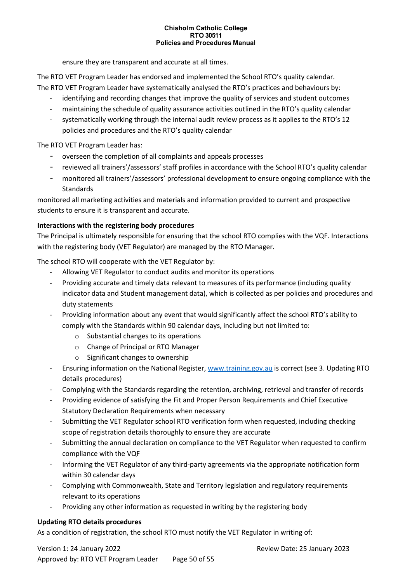ensure they are transparent and accurate at all times.

The RTO VET Program Leader has endorsed and implemented the School RTO's quality calendar. The RTO VET Program Leader have systematically analysed the RTO's practices and behaviours by:

- identifying and recording changes that improve the quality of services and student outcomes
- maintaining the schedule of quality assurance activities outlined in the RTO's quality calendar
- systematically working through the internal audit review process as it applies to the RTO's 12 policies and procedures and the RTO's quality calendar

The RTO VET Program Leader has:

- overseen the completion of all complaints and appeals processes
- reviewed all trainers'/assessors' staff profiles in accordance with the School RTO's quality calendar
- monitored all trainers'/assessors' professional development to ensure ongoing compliance with the **Standards**

monitored all marketing activities and materials and information provided to current and prospective students to ensure it is transparent and accurate.

#### **Interactions with the registering body procedures**

The Principal is ultimately responsible for ensuring that the school RTO complies with the VQF. Interactions with the registering body (VET Regulator) are managed by the RTO Manager.

The school RTO will cooperate with the VET Regulator by:

- Allowing VET Regulator to conduct audits and monitor its operations
- Providing accurate and timely data relevant to measures of its performance (including quality indicator data and Student management data), which is collected as per policies and procedures and duty statements
- Providing information about any event that would significantly affect the school RTO's ability to comply with the Standards within 90 calendar days, including but not limited to:
	- o Substantial changes to its operations
	- o Change of Principal or RTO Manager
	- o Significant changes to ownership
- Ensuring information on the National Register, [www.training.gov.au](http://www.training.gov.au/) is correct (see 3. Updating RTO details procedures)
- Complying with the Standards regarding the retention, archiving, retrieval and transfer of records
- Providing evidence of satisfying the Fit and Proper Person Requirements and Chief Executive Statutory Declaration Requirements when necessary
- Submitting the VET Regulator school RTO verification form when requested, including checking scope of registration details thoroughly to ensure they are accurate
- Submitting the annual declaration on compliance to the VET Regulator when requested to confirm compliance with the VQF
- Informing the VET Regulator of any third-party agreements via the appropriate notification form within 30 calendar days
- Complying with Commonwealth, State and Territory legislation and regulatory requirements relevant to its operations
- Providing any other information as requested in writing by the registering body

#### **Updating RTO details procedures**

As a condition of registration, the school RTO must notify the VET Regulator in writing of: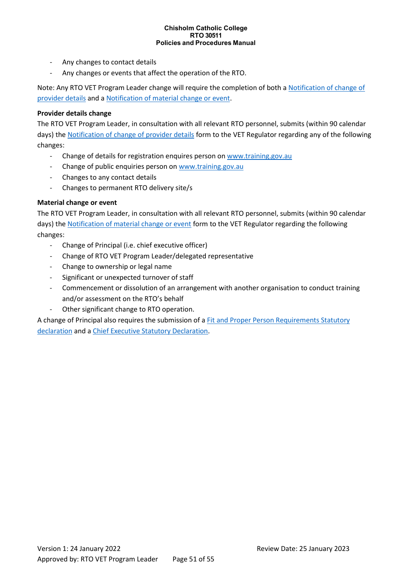- Any changes to contact details
- Any changes or events that affect the operation of the RTO.

Note: Any RTO VET Program Leader change will require the completion of both a [Notification of change of](http://www.qcaa.qld.edu.au/12266.html)  [provider details](http://www.qcaa.qld.edu.au/12266.html) and [a Notification of material change or event.](http://www.qcaa.qld.edu.au/12266.html)

#### **Provider details change**

The RTO VET Program Leader, in consultation with all relevant RTO personnel, submits (within 90 calendar days) th[e Notification of change of provider details](http://www.qcaa.qld.edu.au/12266.html) form to the VET Regulator regarding any of the following changes:

- Change of details for registration enquires person on [www.training.gov.au](http://www.training.gov.au/)
- Change of public enquiries person o[n www.training.gov.au](http://www.training.gov.au/)
- Changes to any contact details
- Changes to permanent RTO delivery site/s

#### **Material change or event**

The RTO VET Program Leader, in consultation with all relevant RTO personnel, submits (within 90 calendar days) th[e Notification of material change or event](http://www.qcaa.qld.edu.au/12266.html) form to the VET Regulator regarding the following changes:

- Change of Principal (i.e. chief executive officer)
- Change of RTO VET Program Leader/delegated representative
- Change to ownership or legal name
- Significant or unexpected turnover of staff
- Commencement or dissolution of an arrangement with another organisation to conduct training and/or assessment on the RTO's behalf
- Other significant change to RTO operation.

A change of Principal also requires the submission of a [Fit and Proper Person Requirements Statutory](http://www.qcaa.qld.edu.au/12266.html)  [declaration](http://www.qcaa.qld.edu.au/12266.html) and a [Chief Executive Statutory Declaration.](http://www.qcaa.qld.edu.au/12266.html)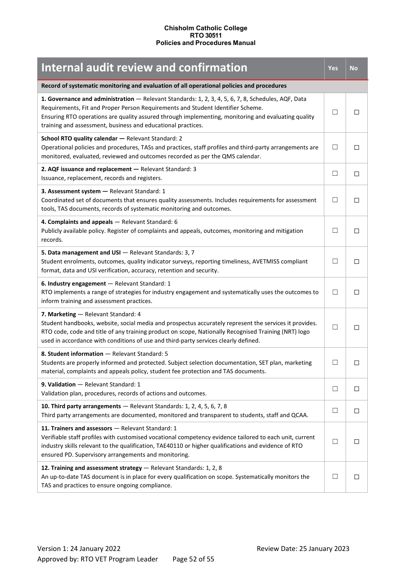<span id="page-51-0"></span>

| <b>Internal audit review and confirmation</b>                                                                                                                                                                                                                                                                                                                 | Yes          | <b>No</b>    |
|---------------------------------------------------------------------------------------------------------------------------------------------------------------------------------------------------------------------------------------------------------------------------------------------------------------------------------------------------------------|--------------|--------------|
| Record of systematic monitoring and evaluation of all operational policies and procedures                                                                                                                                                                                                                                                                     |              |              |
| 1. Governance and administration - Relevant Standards: 1, 2, 3, 4, 5, 6, 7, 8, Schedules, AQF, Data<br>Requirements, Fit and Proper Person Requirements and Student Identifier Scheme.<br>Ensuring RTO operations are quality assured through implementing, monitoring and evaluating quality<br>training and assessment, business and educational practices. |              | П            |
| School RTO quality calendar - Relevant Standard: 2<br>Operational policies and procedures, TASs and practices, staff profiles and third-party arrangements are<br>monitored, evaluated, reviewed and outcomes recorded as per the QMS calendar.                                                                                                               | $\Box$       | П            |
| 2. AQF issuance and replacement - Relevant Standard: 3<br>Issuance, replacement, records and registers.                                                                                                                                                                                                                                                       | П            | □            |
| 3. Assessment system - Relevant Standard: 1<br>Coordinated set of documents that ensures quality assessments. Includes requirements for assessment<br>tools, TAS documents, records of systematic monitoring and outcomes.                                                                                                                                    | $\mathsf{L}$ | □            |
| 4. Complaints and appeals - Relevant Standard: 6<br>Publicly available policy. Register of complaints and appeals, outcomes, monitoring and mitigation<br>records.                                                                                                                                                                                            |              | П            |
| 5. Data management and USI - Relevant Standards: 3, 7<br>Student enrolments, outcomes, quality indicator surveys, reporting timeliness, AVETMISS compliant<br>format, data and USI verification, accuracy, retention and security.                                                                                                                            | $\mathsf{L}$ | □            |
| 6. Industry engagement - Relevant Standard: 1<br>RTO implements a range of strategies for industry engagement and systematically uses the outcomes to<br>inform training and assessment practices.                                                                                                                                                            | П            | □            |
| 7. Marketing - Relevant Standard: 4<br>Student handbooks, website, social media and prospectus accurately represent the services it provides.<br>RTO code, code and title of any training product on scope, Nationally Recognised Training (NRT) logo<br>used in accordance with conditions of use and third-party services clearly defined.                  | $\mathsf{L}$ | □            |
| 8. Student information - Relevant Standard: 5<br>Students are properly informed and protected. Subject selection documentation, SET plan, marketing<br>material, complaints and appeals policy, student fee protection and TAS documents.                                                                                                                     | $\mathbf{L}$ | $\mathsf{L}$ |
| 9. Validation - Relevant Standard: 1<br>Validation plan, procedures, records of actions and outcomes.                                                                                                                                                                                                                                                         | ⊔            | □            |
| 10. Third party arrangements - Relevant Standards: 1, 2, 4, 5, 6, 7, 8<br>Third party arrangements are documented, monitored and transparent to students, staff and QCAA.                                                                                                                                                                                     | $\mathsf{L}$ | □            |
| 11. Trainers and assessors - Relevant Standard: 1<br>Verifiable staff profiles with customised vocational competency evidence tailored to each unit, current<br>industry skills relevant to the qualification, TAE40110 or higher qualifications and evidence of RTO<br>ensured PD. Supervisory arrangements and monitoring.                                  | П            | □            |
| 12. Training and assessment strategy - Relevant Standards: 1, 2, 8<br>An up-to-date TAS document is in place for every qualification on scope. Systematically monitors the<br>TAS and practices to ensure ongoing compliance.                                                                                                                                 | $\mathsf{L}$ | □            |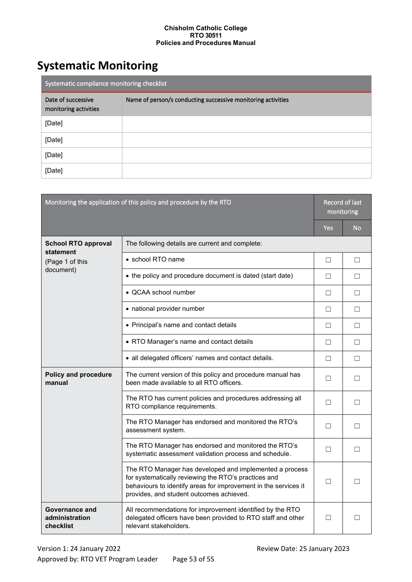# <span id="page-52-0"></span>**Systematic Monitoring**

| Systematic compliance monitoring checklist  |                                                              |  |
|---------------------------------------------|--------------------------------------------------------------|--|
| Date of successive<br>monitoring activities | Name of person/s conducting successive monitoring activities |  |
| [Date]                                      |                                                              |  |
| [Date]                                      |                                                              |  |
| [Date]                                      |                                                              |  |
| [Date]                                      |                                                              |  |

| Monitoring the application of this policy and procedure by the RTO      |                                                                                                                                                                                                                                | Record of last<br>monitoring |           |
|-------------------------------------------------------------------------|--------------------------------------------------------------------------------------------------------------------------------------------------------------------------------------------------------------------------------|------------------------------|-----------|
|                                                                         |                                                                                                                                                                                                                                | Yes                          | <b>No</b> |
| <b>School RTO approval</b><br>statement<br>(Page 1 of this<br>document) | The following details are current and complete:                                                                                                                                                                                |                              |           |
|                                                                         | • school RTO name                                                                                                                                                                                                              | $\Box$                       | □         |
|                                                                         | • the policy and procedure document is dated (start date)                                                                                                                                                                      | □                            | □         |
|                                                                         | • QCAA school number                                                                                                                                                                                                           | □                            | $\Box$    |
|                                                                         | • national provider number                                                                                                                                                                                                     | □                            | □         |
|                                                                         | • Principal's name and contact details                                                                                                                                                                                         | П                            | П         |
|                                                                         | • RTO Manager's name and contact details                                                                                                                                                                                       | □                            | П         |
|                                                                         | • all delegated officers' names and contact details.                                                                                                                                                                           | □                            | П         |
| <b>Policy and procedure</b><br>manual                                   | The current version of this policy and procedure manual has<br>been made available to all RTO officers.                                                                                                                        | П                            | П         |
|                                                                         | The RTO has current policies and procedures addressing all<br>RTO compliance requirements.                                                                                                                                     | П                            | □         |
|                                                                         | The RTO Manager has endorsed and monitored the RTO's<br>assessment system.                                                                                                                                                     | П                            | □         |
|                                                                         | The RTO Manager has endorsed and monitored the RTO's<br>systematic assessment validation process and schedule.                                                                                                                 | П                            | П         |
|                                                                         | The RTO Manager has developed and implemented a process<br>for systematically reviewing the RTO's practices and<br>behaviours to identify areas for improvement in the services it<br>provides, and student outcomes achieved. | П                            | П         |
| Governance and<br>administration<br>checklist                           | All recommendations for improvement identified by the RTO<br>delegated officers have been provided to RTO staff and other<br>relevant stakeholders.                                                                            | □                            | □         |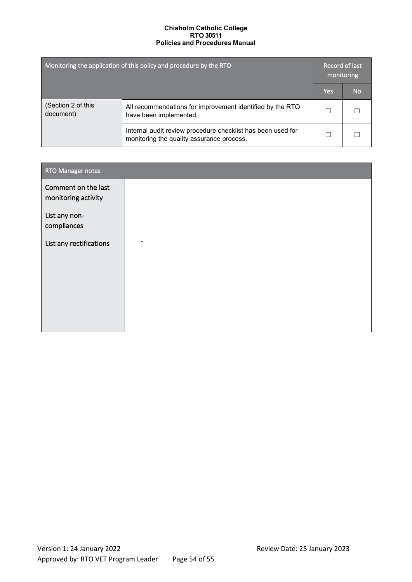| Monitoring the application of this policy and procedure by the RTO |                                                                                                          | Record of last<br>monitoring |    |
|--------------------------------------------------------------------|----------------------------------------------------------------------------------------------------------|------------------------------|----|
|                                                                    |                                                                                                          | Yes                          | No |
| (Section 2 of this<br>document)                                    | All recommendations for improvement identified by the RTO<br>have been implemented.                      |                              |    |
|                                                                    | Internal audit review procedure checklist has been used for<br>monitoring the quality assurance process. |                              |    |

| <b>RTO Manager notes</b>                   |  |
|--------------------------------------------|--|
| Comment on the last<br>monitoring activity |  |
| List any non-<br>compliances               |  |
| List any rectifications                    |  |